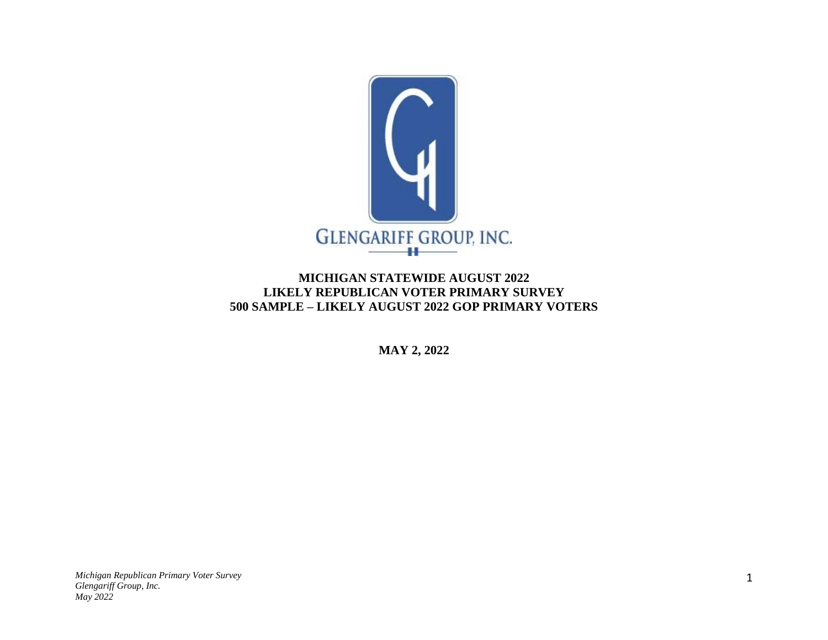

## **MICHIGAN STATEWIDE AUGUST 2022 LIKELY REPUBLICAN VOTER PRIMARY SURVEY 500 SAMPLE – LIKELY AUGUST 2022 GOP PRIMARY VOTERS**

**MAY 2, 2022**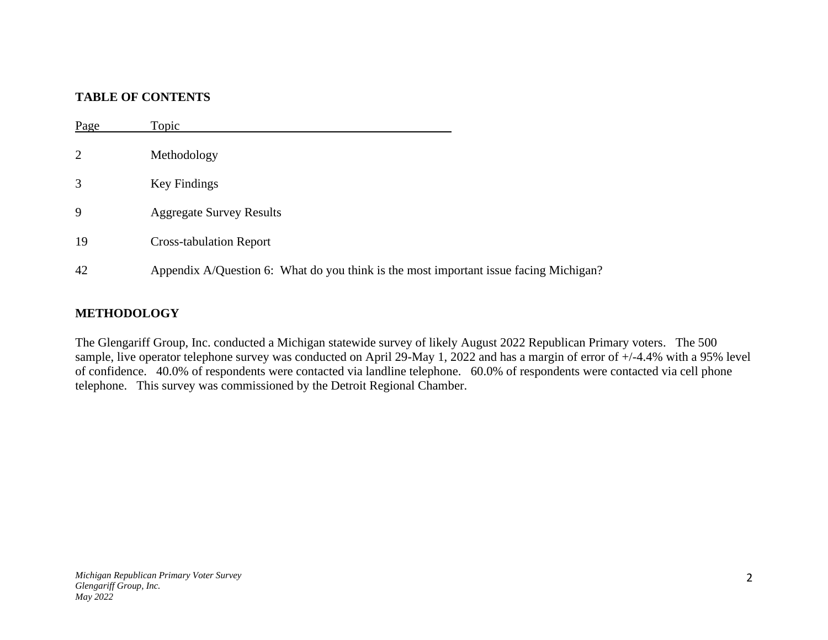## **TABLE OF CONTENTS**

| Page | Topic                                                                                 |
|------|---------------------------------------------------------------------------------------|
|      | Methodology                                                                           |
|      | Key Findings                                                                          |
| 9    | <b>Aggregate Survey Results</b>                                                       |
| 19   | <b>Cross-tabulation Report</b>                                                        |
| 42   | Appendix A/Question 6: What do you think is the most important issue facing Michigan? |

#### **METHODOLOGY**

The Glengariff Group, Inc. conducted a Michigan statewide survey of likely August 2022 Republican Primary voters. The 500 sample, live operator telephone survey was conducted on April 29-May 1, 2022 and has a margin of error of  $+/4.4\%$  with a 95% level of confidence. 40.0% of respondents were contacted via landline telephone. 60.0% of respondents were contacted via cell phone telephone. This survey was commissioned by the Detroit Regional Chamber.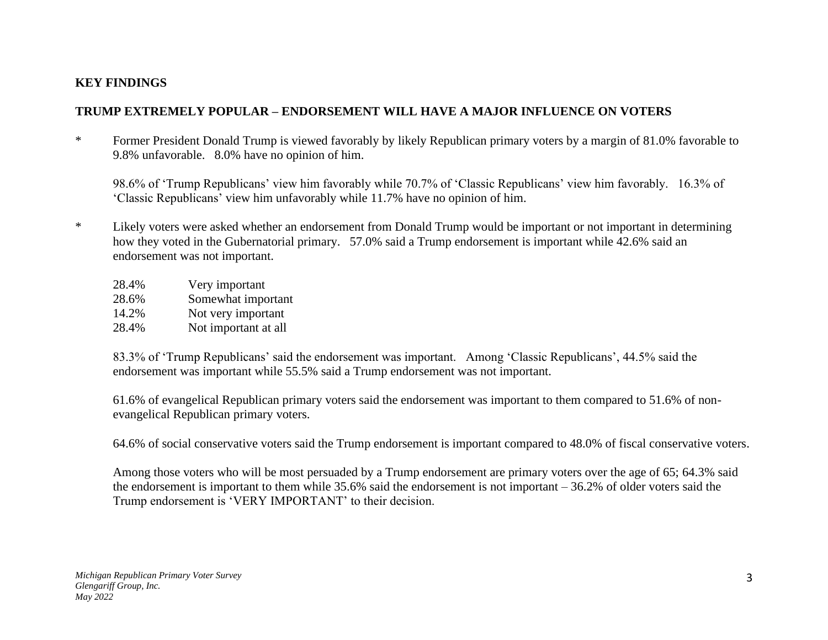## **KEY FINDINGS**

## **TRUMP EXTREMELY POPULAR – ENDORSEMENT WILL HAVE A MAJOR INFLUENCE ON VOTERS**

\* Former President Donald Trump is viewed favorably by likely Republican primary voters by a margin of 81.0% favorable to 9.8% unfavorable. 8.0% have no opinion of him.

98.6% of 'Trump Republicans' view him favorably while 70.7% of 'Classic Republicans' view him favorably. 16.3% of 'Classic Republicans' view him unfavorably while 11.7% have no opinion of him.

\* Likely voters were asked whether an endorsement from Donald Trump would be important or not important in determining how they voted in the Gubernatorial primary. 57.0% said a Trump endorsement is important while 42.6% said an endorsement was not important.

| 28.4% | Very important       |
|-------|----------------------|
| 28.6% | Somewhat important   |
| 14.2% | Not very important   |
| 28.4% | Not important at all |

83.3% of 'Trump Republicans' said the endorsement was important. Among 'Classic Republicans', 44.5% said the endorsement was important while 55.5% said a Trump endorsement was not important.

61.6% of evangelical Republican primary voters said the endorsement was important to them compared to 51.6% of nonevangelical Republican primary voters.

64.6% of social conservative voters said the Trump endorsement is important compared to 48.0% of fiscal conservative voters.

Among those voters who will be most persuaded by a Trump endorsement are primary voters over the age of 65; 64.3% said the endorsement is important to them while 35.6% said the endorsement is not important – 36.2% of older voters said the Trump endorsement is 'VERY IMPORTANT' to their decision.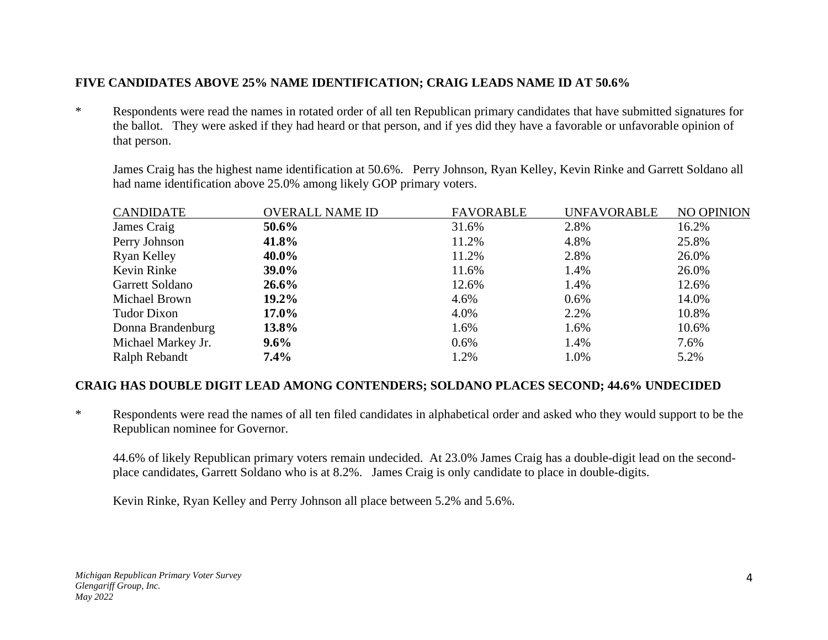## **FIVE CANDIDATES ABOVE 25% NAME IDENTIFICATION; CRAIG LEADS NAME ID AT 50.6%**

\* Respondents were read the names in rotated order of all ten Republican primary candidates that have submitted signatures for the ballot. They were asked if they had heard or that person, and if yes did they have a favorable or unfavorable opinion of that person.

James Craig has the highest name identification at 50.6%. Perry Johnson, Ryan Kelley, Kevin Rinke and Garrett Soldano all had name identification above 25.0% among likely GOP primary voters.

| <b>CANDIDATE</b>   | <b>OVERALL NAME ID</b> | <b>FAVORABLE</b> | <b>UNFAVORABLE</b> | NO OPINION |
|--------------------|------------------------|------------------|--------------------|------------|
| James Craig        | 50.6%                  | 31.6%            | 2.8%               | 16.2%      |
| Perry Johnson      | 41.8%                  | 11.2%            | 4.8%               | 25.8%      |
| Ryan Kelley        | 40.0%                  | 11.2%            | 2.8%               | 26.0%      |
| Kevin Rinke        | $39.0\%$               | 11.6%            | 1.4%               | 26.0%      |
| Garrett Soldano    | $26.6\%$               | 12.6%            | 1.4%               | 12.6%      |
| Michael Brown      | 19.2%                  | 4.6%             | $0.6\%$            | 14.0%      |
| Tudor Dixon        | $17.0\%$               | 4.0%             | 2.2%               | 10.8%      |
| Donna Brandenburg  | 13.8%                  | 1.6%             | 1.6%               | 10.6%      |
| Michael Markey Jr. | $9.6\%$                | $0.6\%$          | 1.4%               | 7.6%       |
| Ralph Rebandt      | $7.4\%$                | 1.2%             | 1.0%               | 5.2%       |

#### **CRAIG HAS DOUBLE DIGIT LEAD AMONG CONTENDERS; SOLDANO PLACES SECOND; 44.6% UNDECIDED**

\* Respondents were read the names of all ten filed candidates in alphabetical order and asked who they would support to be the Republican nominee for Governor.

44.6% of likely Republican primary voters remain undecided. At 23.0% James Craig has a double-digit lead on the secondplace candidates, Garrett Soldano who is at 8.2%. James Craig is only candidate to place in double-digits.

Kevin Rinke, Ryan Kelley and Perry Johnson all place between 5.2% and 5.6%.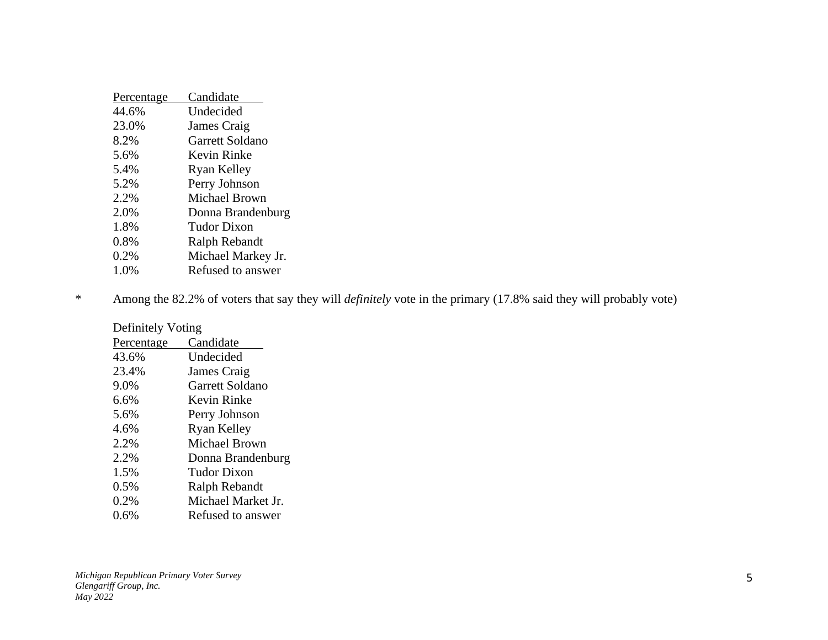| Candidate            |
|----------------------|
| Undecided            |
| James Craig          |
| Garrett Soldano      |
| Kevin Rinke          |
| Ryan Kelley          |
| Perry Johnson        |
| <b>Michael Brown</b> |
| Donna Brandenburg    |
| <b>Tudor Dixon</b>   |
| Ralph Rebandt        |
| Michael Markey Jr.   |
| Refused to answer    |
|                      |

\* Among the 82.2% of voters that say they will *definitely* vote in the primary (17.8% said they will probably vote)

| Definitely Voting |                    |  |  |
|-------------------|--------------------|--|--|
| Percentage        | Candidate          |  |  |
| 43.6%             | Undecided          |  |  |
| 23.4%             | James Craig        |  |  |
| 9.0%              | Garrett Soldano    |  |  |
| 6.6%              | Kevin Rinke        |  |  |
| 5.6%              | Perry Johnson      |  |  |
| 4.6%              | <b>Ryan Kelley</b> |  |  |
| 2.2%              | Michael Brown      |  |  |
| 2.2%              | Donna Brandenburg  |  |  |
| 1.5%              | Tudor Dixon        |  |  |
| $0.5\%$           | Ralph Rebandt      |  |  |
| 0.2%              | Michael Market Jr. |  |  |
| $0.6\%$           | Refused to answer  |  |  |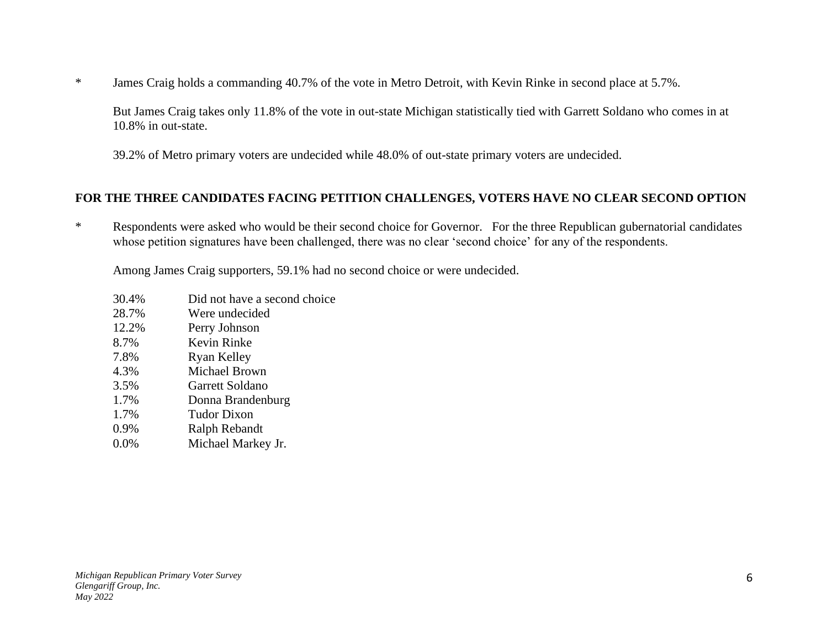\* James Craig holds a commanding 40.7% of the vote in Metro Detroit, with Kevin Rinke in second place at 5.7%.

But James Craig takes only 11.8% of the vote in out-state Michigan statistically tied with Garrett Soldano who comes in at 10.8% in out-state.

39.2% of Metro primary voters are undecided while 48.0% of out-state primary voters are undecided.

## **FOR THE THREE CANDIDATES FACING PETITION CHALLENGES, VOTERS HAVE NO CLEAR SECOND OPTION**

\* Respondents were asked who would be their second choice for Governor. For the three Republican gubernatorial candidates whose petition signatures have been challenged, there was no clear 'second choice' for any of the respondents.

Among James Craig supporters, 59.1% had no second choice or were undecided.

- 30.4% Did not have a second choice
- 28.7% Were undecided
- 12.2% Perry Johnson
- 8.7% Kevin Rinke
- 7.8% Ryan Kelley
- 4.3% Michael Brown
- 3.5% Garrett Soldano
- 1.7% Donna Brandenburg
- 1.7% Tudor Dixon
- 0.9% Ralph Rebandt
- 0.0% Michael Markey Jr.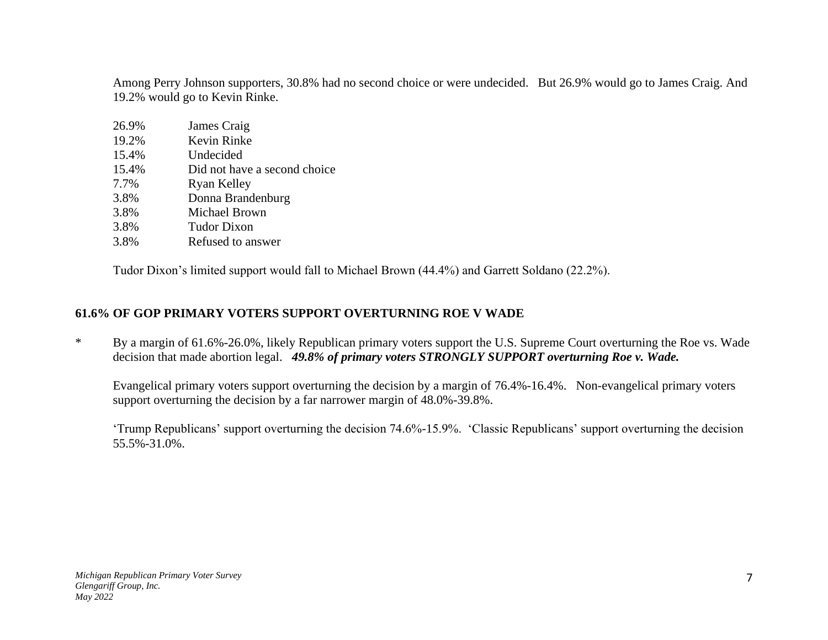Among Perry Johnson supporters, 30.8% had no second choice or were undecided. But 26.9% would go to James Craig. And 19.2% would go to Kevin Rinke.

| 26.9% | James Craig                  |
|-------|------------------------------|
| 19.2% | Kevin Rinke                  |
| 15.4% | Undecided                    |
| 15.4% | Did not have a second choice |
| 7.7%  | Ryan Kelley                  |
| 3.8%  | Donna Brandenburg            |
| 3.8%  | Michael Brown                |
| 3.8%  | <b>Tudor Dixon</b>           |
| 3.8%  | Refused to answer            |

Tudor Dixon's limited support would fall to Michael Brown (44.4%) and Garrett Soldano (22.2%).

## **61.6% OF GOP PRIMARY VOTERS SUPPORT OVERTURNING ROE V WADE**

\* By a margin of 61.6%-26.0%, likely Republican primary voters support the U.S. Supreme Court overturning the Roe vs. Wade decision that made abortion legal. *49.8% of primary voters STRONGLY SUPPORT overturning Roe v. Wade.*

Evangelical primary voters support overturning the decision by a margin of 76.4%-16.4%. Non-evangelical primary voters support overturning the decision by a far narrower margin of 48.0%-39.8%.

'Trump Republicans' support overturning the decision 74.6%-15.9%. 'Classic Republicans' support overturning the decision 55.5%-31.0%.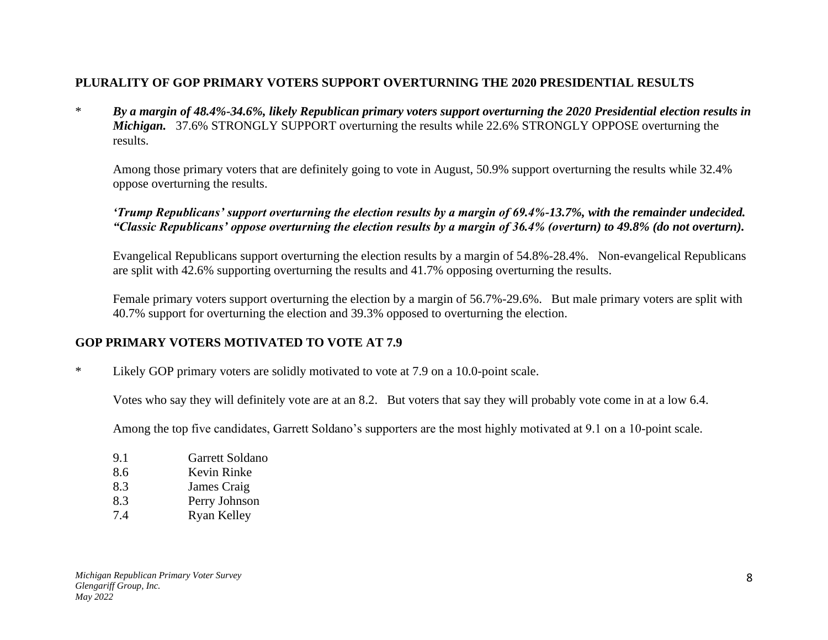## **PLURALITY OF GOP PRIMARY VOTERS SUPPORT OVERTURNING THE 2020 PRESIDENTIAL RESULTS**

\* *By a margin of 48.4%-34.6%, likely Republican primary voters support overturning the 2020 Presidential election results in Michigan.* 37.6% STRONGLY SUPPORT overturning the results while 22.6% STRONGLY OPPOSE overturning the results.

Among those primary voters that are definitely going to vote in August, 50.9% support overturning the results while 32.4% oppose overturning the results.

#### *'Trump Republicans' support overturning the election results by a margin of 69.4%-13.7%, with the remainder undecided. "Classic Republicans' oppose overturning the election results by a margin of 36.4% (overturn) to 49.8% (do not overturn).*

Evangelical Republicans support overturning the election results by a margin of 54.8%-28.4%. Non-evangelical Republicans are split with 42.6% supporting overturning the results and 41.7% opposing overturning the results.

Female primary voters support overturning the election by a margin of 56.7%-29.6%. But male primary voters are split with 40.7% support for overturning the election and 39.3% opposed to overturning the election.

## **GOP PRIMARY VOTERS MOTIVATED TO VOTE AT 7.9**

\* Likely GOP primary voters are solidly motivated to vote at 7.9 on a 10.0-point scale.

Votes who say they will definitely vote are at an 8.2. But voters that say they will probably vote come in at a low 6.4.

Among the top five candidates, Garrett Soldano's supporters are the most highly motivated at 9.1 on a 10-point scale.

| 9.1 | Garrett Soldano    |
|-----|--------------------|
| 8.6 | Kevin Rinke        |
| 8.3 | James Craig        |
| 8.3 | Perry Johnson      |
| 7.4 | <b>Ryan Kelley</b> |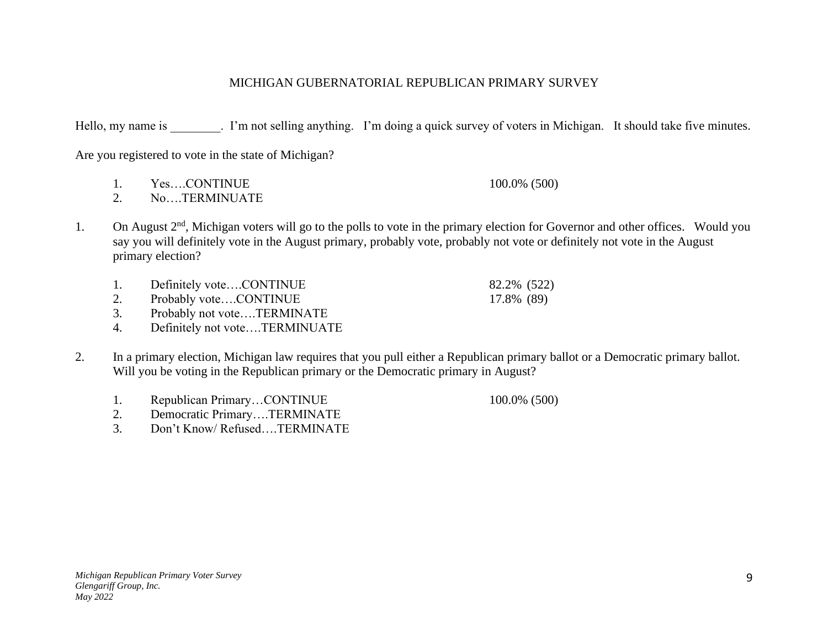#### MICHIGAN GUBERNATORIAL REPUBLICAN PRIMARY SURVEY

Hello, my name is . I'm not selling anything. I'm doing a quick survey of voters in Michigan. It should take five minutes.

Are you registered to vote in the state of Michigan?

- 1. Yes....CONTINUE 100.0% (500)
- 2. No….TERMINUATE
- 1. On August 2<sup>nd</sup>, Michigan voters will go to the polls to vote in the primary election for Governor and other offices. Would you say you will definitely vote in the August primary, probably vote, probably not vote or definitely not vote in the August primary election?
	- 1. Definitely vote....CONTINUE 82.2% (522)
	- 2. Probably vote....CONTINUE 17.8% (89)
	- 3. Probably not vote….TERMINATE
	- 4. Definitely not vote….TERMINUATE
- 2. In a primary election, Michigan law requires that you pull either a Republican primary ballot or a Democratic primary ballot. Will you be voting in the Republican primary or the Democratic primary in August?
	- 1. Republican Primary...CONTINUE 100.0% (500)
		-
	- 2. Democratic Primary….TERMINATE
	- 3. Don't Know/ Refused….TERMINATE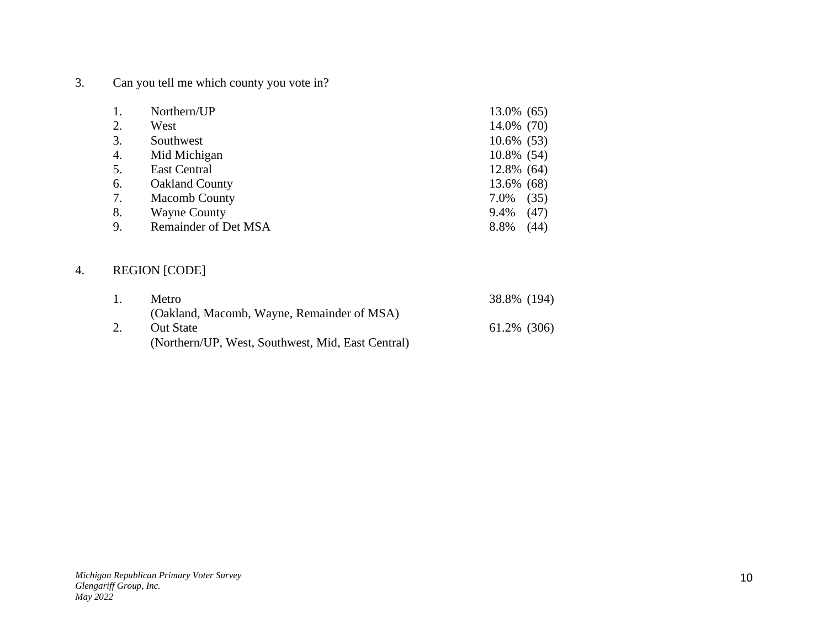3. Can you tell me which county you vote in?

| 1. | Northern/UP           | 13.0% (65)    |
|----|-----------------------|---------------|
| 2. | West                  | 14.0% (70)    |
| 3. | Southwest             | $10.6\%$ (53) |
| 4. | Mid Michigan          | 10.8% (54)    |
| 5. | <b>East Central</b>   | 12.8% (64)    |
| 6. | <b>Oakland County</b> | 13.6% (68)    |
| 7. | <b>Macomb County</b>  | (35)<br>7.0%  |
| 8. | <b>Wayne County</b>   | (47)<br>9.4%  |
| 9. | Remainder of Det MSA  | 8.8%<br>(44)  |

# 4. REGION [CODE]

| Metro                                             | 38.8% (194) |
|---------------------------------------------------|-------------|
| (Oakland, Macomb, Wayne, Remainder of MSA)        |             |
| <b>Out State</b>                                  | 61.2% (306) |
| (Northern/UP, West, Southwest, Mid, East Central) |             |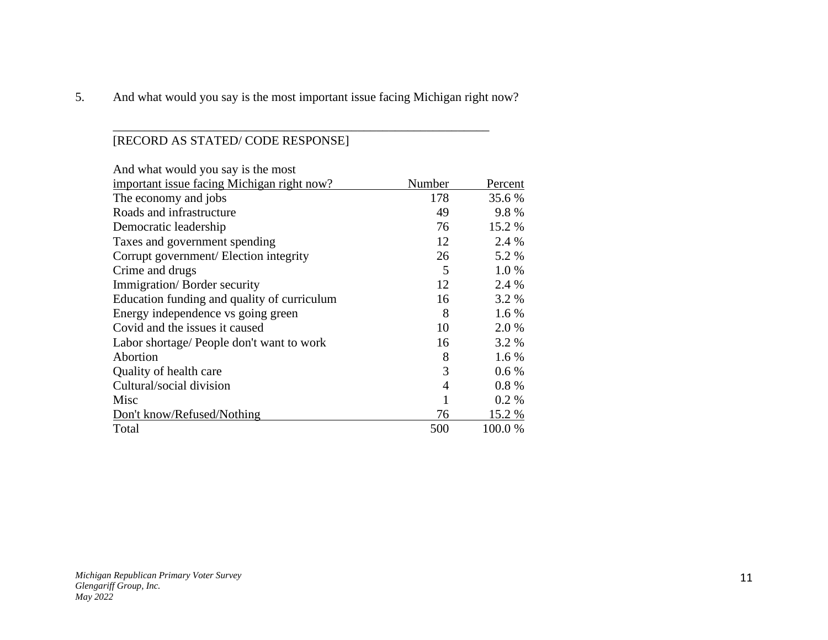5. And what would you say is the most important issue facing Michigan right now?

\_\_\_\_\_\_\_\_\_\_\_\_\_\_\_\_\_\_\_\_\_\_\_\_\_\_\_\_\_\_\_\_\_\_\_\_\_\_\_\_\_\_\_\_\_\_\_\_\_\_\_\_\_\_\_\_\_\_\_\_

# [RECORD AS STATED/ CODE RESPONSE]

| And what would you say is the most          |                |         |  |
|---------------------------------------------|----------------|---------|--|
| important issue facing Michigan right now?  | Number         | Percent |  |
| The economy and jobs                        | 178            | 35.6 %  |  |
| Roads and infrastructure                    | 49             | 9.8%    |  |
| Democratic leadership                       | 76             | 15.2 %  |  |
| Taxes and government spending               | 12             | 2.4 %   |  |
| Corrupt government/ Election integrity      | 26             | 5.2 %   |  |
| Crime and drugs                             | 5              | $1.0\%$ |  |
| Immigration/Border security                 | 12             | 2.4 %   |  |
| Education funding and quality of curriculum | 16             | 3.2 %   |  |
| Energy independence vs going green          | 8              | $1.6\%$ |  |
| Covid and the issues it caused              | 10             | 2.0 %   |  |
| Labor shortage/ People don't want to work   | 16             | 3.2 %   |  |
| Abortion                                    | 8              | $1.6\%$ |  |
| Quality of health care                      | 3              | $0.6\%$ |  |
| Cultural/social division                    | $\overline{4}$ | $0.8\%$ |  |
| Misc                                        | 1              | 0.2 %   |  |
| Don't know/Refused/Nothing                  | 76             | 15.2 %  |  |
| Total                                       | 500            | 100.0%  |  |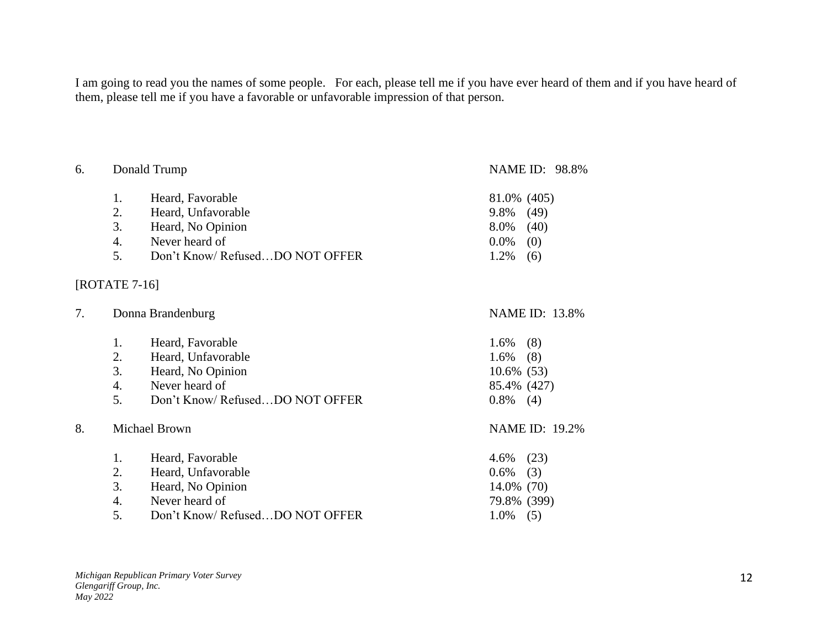I am going to read you the names of some people. For each, please tell me if you have ever heard of them and if you have heard of them, please tell me if you have a favorable or unfavorable impression of that person.

| 6. |                 | Donald Trump                    | NAME ID: 98.8%        |
|----|-----------------|---------------------------------|-----------------------|
|    | 1.              | Heard, Favorable                | 81.0% (405)           |
|    | 2.              | Heard, Unfavorable              | 9.8%<br>(49)          |
|    | 3.              | Heard, No Opinion               | 8.0%<br>(40)          |
|    | 4.              | Never heard of                  | (0)<br>$0.0\%$        |
|    | 5.              | Don't Know/ RefusedDO NOT OFFER | 1.2%<br>(6)           |
|    | $[ROTATE 7-16]$ |                                 |                       |
| 7. |                 | Donna Brandenburg               | <b>NAME ID: 13.8%</b> |
|    | 1.              | Heard, Favorable                | 1.6%<br>(8)           |
|    | 2.              | Heard, Unfavorable              | 1.6%<br>(8)           |
|    | 3.              | Heard, No Opinion               | $10.6\%$ (53)         |
|    | 4.              | Never heard of                  | 85.4% (427)           |
|    | 5.              | Don't Know/RefusedDO NOT OFFER  | $0.8\%$<br>(4)        |
| 8. |                 | <b>Michael Brown</b>            | <b>NAME ID: 19.2%</b> |
|    | 1.              | Heard, Favorable                | (23)<br>4.6%          |
|    | 2.              | Heard, Unfavorable              | 0.6%<br>(3)           |
|    | 3.              | Heard, No Opinion               | 14.0% (70)            |
|    | 4.              | Never heard of                  | 79.8% (399)           |
|    | 5.              | Don't Know/RefusedDO NOT OFFER  | 1.0%<br>(5)           |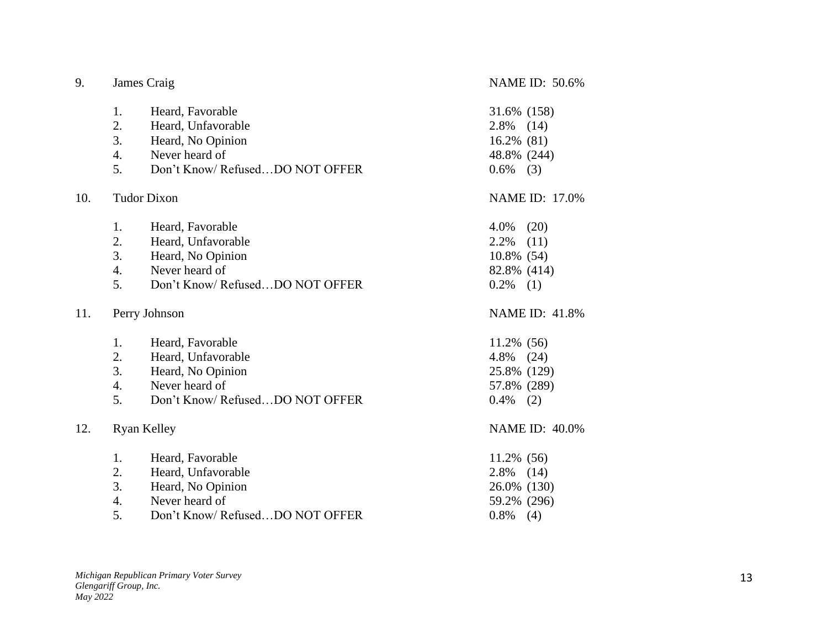| 9.  |    | James Craig                     | <b>NAME ID: 50.6%</b> |
|-----|----|---------------------------------|-----------------------|
|     | 1. | Heard, Favorable                | 31.6% (158)           |
|     | 2. | Heard, Unfavorable              | 2.8%<br>(14)          |
|     | 3. | Heard, No Opinion               | 16.2% (81)            |
|     | 4. | Never heard of                  | 48.8% (244)           |
|     | 5. | Don't Know/RefusedDO NOT OFFER  | $0.6\%$ (3)           |
| 10. |    | <b>Tudor Dixon</b>              | <b>NAME ID: 17.0%</b> |
|     | 1. | Heard, Favorable                | (20)<br>4.0%          |
|     | 2. | Heard, Unfavorable              | 2.2%<br>(11)          |
|     | 3. | Heard, No Opinion               | 10.8% (54)            |
|     | 4. | Never heard of                  | 82.8% (414)           |
|     | 5. | Don't Know/RefusedDO NOT OFFER  | $0.2\%$ (1)           |
| 11. |    | Perry Johnson                   | <b>NAME ID: 41.8%</b> |
|     | 1. | Heard, Favorable                | 11.2% (56)            |
|     | 2. | Heard, Unfavorable              | 4.8%<br>(24)          |
|     | 3. | Heard, No Opinion               | 25.8% (129)           |
|     | 4. | Never heard of                  | 57.8% (289)           |
|     | 5. | Don't Know/RefusedDO NOT OFFER  | $0.4\%$<br>(2)        |
| 12. |    | <b>Ryan Kelley</b>              | <b>NAME ID: 40.0%</b> |
|     | 1. | Heard, Favorable                | 11.2% (56)            |
|     | 2. | Heard, Unfavorable              | 2.8%<br>(14)          |
|     | 3. | Heard, No Opinion               | 26.0% (130)           |
|     | 4. | Never heard of                  | 59.2% (296)           |
|     | 5. | Don't Know/ RefusedDO NOT OFFER | 0.8%<br>(4)           |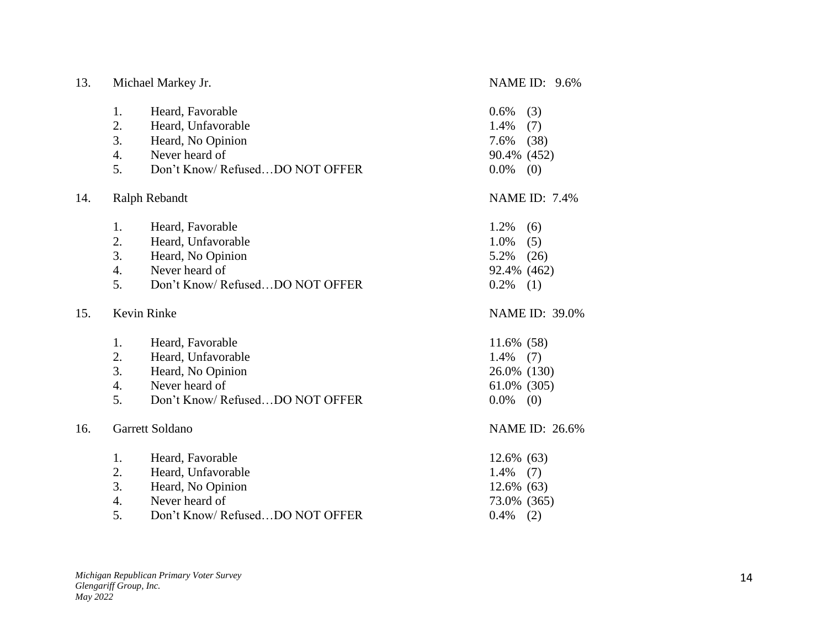| 13. |    | Michael Markey Jr.              | <b>NAME ID: 9.6%</b>  |
|-----|----|---------------------------------|-----------------------|
|     | 1. | Heard, Favorable                | (3)<br>0.6%           |
|     | 2. | Heard, Unfavorable              | 1.4%<br>(7)           |
|     | 3. | Heard, No Opinion               | 7.6%<br>(38)          |
|     | 4. | Never heard of                  | 90.4% (452)           |
|     | 5. | Don't Know/RefusedDO NOT OFFER  | 0.0%<br>(0)           |
| 14. |    | Ralph Rebandt                   | <b>NAME ID: 7.4%</b>  |
|     | 1. | Heard, Favorable                | 1.2%<br>(6)           |
|     | 2. | Heard, Unfavorable              | 1.0%<br>(5)           |
|     | 3. | Heard, No Opinion               | 5.2%<br>(26)          |
|     | 4. | Never heard of                  | 92.4% (462)           |
|     | 5. | Don't Know/RefusedDO NOT OFFER  | 0.2%<br>(1)           |
| 15. |    | Kevin Rinke                     | <b>NAME ID: 39.0%</b> |
|     | 1. | Heard, Favorable                | 11.6% (58)            |
|     | 2. | Heard, Unfavorable              | 1.4%<br>(7)           |
|     | 3. | Heard, No Opinion               | 26.0% (130)           |
|     | 4. | Never heard of                  | 61.0% (305)           |
|     | 5. | Don't Know/RefusedDO NOT OFFER  | $0.0\%$<br>(0)        |
| 16. |    | Garrett Soldano                 | NAME ID: 26.6%        |
|     | 1. | Heard, Favorable                | 12.6% (63)            |
|     | 2. | Heard, Unfavorable              | 1.4%<br>(7)           |
|     | 3. | Heard, No Opinion               | 12.6% (63)            |
|     | 4. | Never heard of                  | 73.0% (365)           |
|     | 5. | Don't Know/ RefusedDO NOT OFFER | 0.4%<br>(2)           |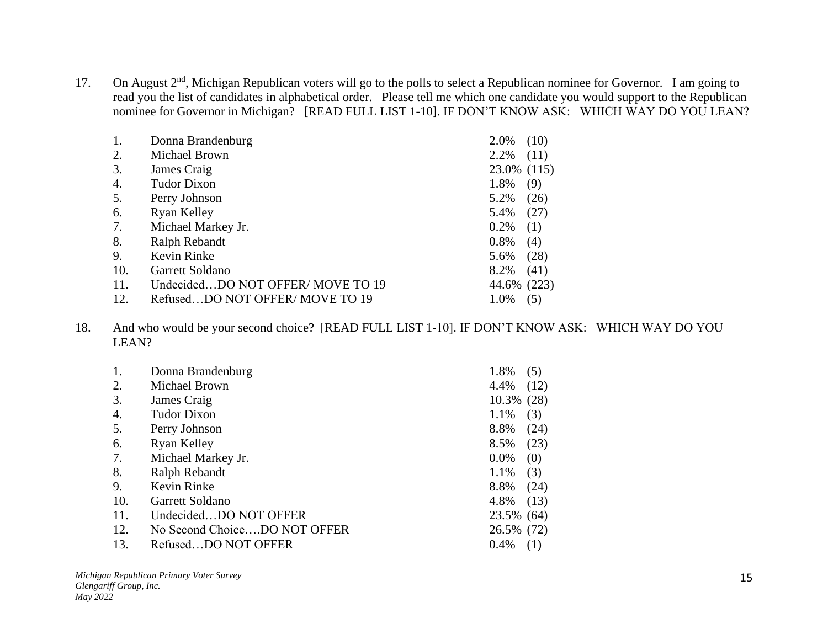17. On August 2<sup>nd</sup>, Michigan Republican voters will go to the polls to select a Republican nominee for Governor. I am going to read you the list of candidates in alphabetical order. Please tell me which one candidate you would support to the Republican nominee for Governor in Michigan? [READ FULL LIST 1-10]. IF DON'T KNOW ASK: WHICH WAY DO YOU LEAN?

| 1.  | Donna Brandenburg                | 2.0%        | (10)  |
|-----|----------------------------------|-------------|-------|
| 2.  | Michael Brown                    | 2.2%        | (11)  |
| 3.  | James Craig                      | 23.0% (115) |       |
| 4.  | <b>Tudor Dixon</b>               | 1.8%        | (9)   |
| 5.  | Perry Johnson                    | 5.2%        | (26)  |
| 6.  | Ryan Kelley                      | 5.4%        | (27)  |
| 7.  | Michael Markey Jr.               | 0.2%        | (1)   |
| 8.  | Ralph Rebandt                    | 0.8%        | (4)   |
| 9.  | Kevin Rinke                      | 5.6%        | (28)  |
| 10. | Garrett Soldano                  | 8.2%        | (41)  |
| 11. | UndecidedDO NOT OFFER/MOVE TO 19 | 44.6%       | (223) |
| 12. | RefusedDO NOT OFFER/MOVE TO 19   | 1.0%        | (5)   |

18. And who would be your second choice? [READ FULL LIST 1-10]. IF DON'T KNOW ASK: WHICH WAY DO YOU LEAN?

| 1.  | Donna Brandenburg            | 1.8%       | (5)  |
|-----|------------------------------|------------|------|
| 2.  | Michael Brown                | 4.4%       | (12) |
| 3.  | James Craig                  | 10.3%      | (28) |
| 4.  | <b>Tudor Dixon</b>           | 1.1%       | (3)  |
| 5.  | Perry Johnson                | 8.8%       | (24) |
| 6.  | Ryan Kelley                  | 8.5%       | (23) |
| 7.  | Michael Markey Jr.           | $0.0\%$    | (0)  |
| 8.  | Ralph Rebandt                | 1.1%       | (3)  |
| 9.  | Kevin Rinke                  | 8.8%       | (24) |
| 10. | Garrett Soldano              | 4.8%       | (13) |
| 11. | UndecidedDO NOT OFFER        | 23.5% (64) |      |
| 12. | No Second ChoiceDO NOT OFFER | 26.5% (72) |      |
| 13. | RefusedDO NOT OFFER          | 0.4%       | (1)  |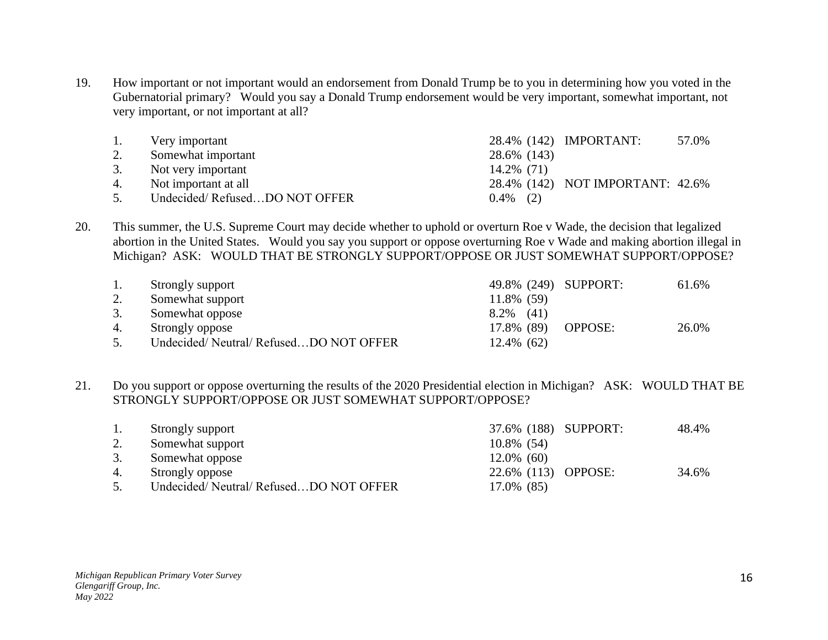19. How important or not important would an endorsement from Donald Trump be to you in determining how you voted in the Gubernatorial primary? Would you say a Donald Trump endorsement would be very important, somewhat important, not very important, or not important at all?

| 1. | Very important                |             | 28.4% (142) IMPORTANT:           | 57.0% |
|----|-------------------------------|-------------|----------------------------------|-------|
|    | Somewhat important            | 28.6% (143) |                                  |       |
| 3. | Not very important            | 14.2% (71)  |                                  |       |
| 4. | Not important at all          |             | 28.4% (142) NOT IMPORTANT: 42.6% |       |
| 5. | Undecided/RefusedDO NOT OFFER | $0.4\%$ (2) |                                  |       |

20. This summer, the U.S. Supreme Court may decide whether to uphold or overturn Roe v Wade, the decision that legalized abortion in the United States. Would you say you support or oppose overturning Roe v Wade and making abortion illegal in Michigan? ASK: WOULD THAT BE STRONGLY SUPPORT/OPPOSE OR JUST SOMEWHAT SUPPORT/OPPOSE?

| 1. | Strongly support                      | 49.8% (249) SUPPORT: | 61.6% |
|----|---------------------------------------|----------------------|-------|
| 2. | Somewhat support                      | 11.8% (59)           |       |
| 3. | Somewhat oppose                       | $8.2\%$ (41)         |       |
| 4. | Strongly oppose                       | 17.8% (89) OPPOSE:   | 26.0% |
|    | Undecided/Neutral/RefusedDO NOT OFFER | $12.4\%$ (62)        |       |

21. Do you support or oppose overturning the results of the 2020 Presidential election in Michigan? ASK: WOULD THAT BE STRONGLY SUPPORT/OPPOSE OR JUST SOMEWHAT SUPPORT/OPPOSE?

| 1. | Strongly support                      | 37.6% (188) SUPPORT: | 48.4% |
|----|---------------------------------------|----------------------|-------|
| 2. | Somewhat support                      | 10.8% (54)           |       |
| 3. | Somewhat oppose                       | $12.0\%$ (60)        |       |
| 4. | Strongly oppose                       | 22.6% (113) OPPOSE:  | 34.6% |
|    | Undecided/Neutral/RefusedDO NOT OFFER | 17.0% (85)           |       |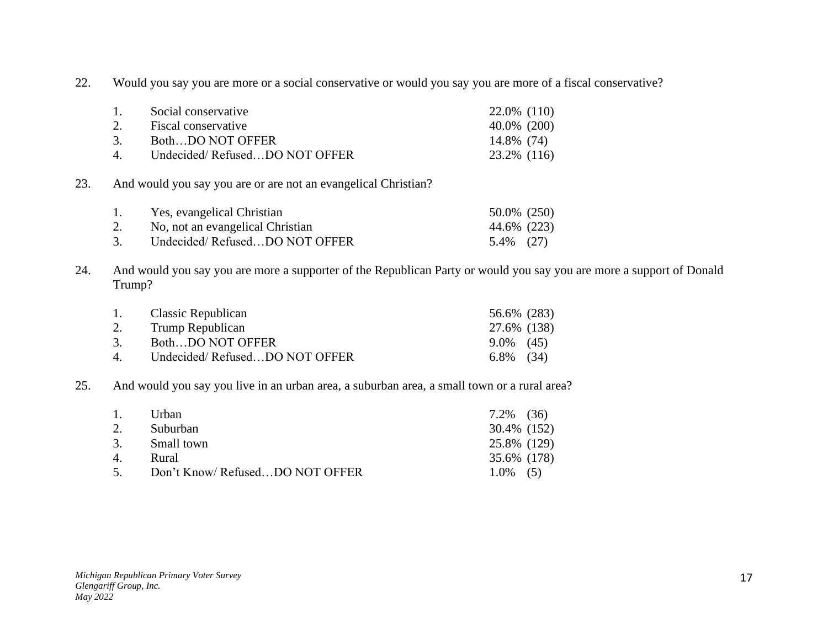22. Would you say you are more or a social conservative or would you say you are more of a fiscal conservative?

| 1.                | Social conservative           | 22.0\% (110) |
|-------------------|-------------------------------|--------------|
| 2.                | Fiscal conservative           | 40.0% (200)  |
| 3.                | BothDO NOT OFFER              | 14.8% (74)   |
| $\mathbf{\Delta}$ | Undecided/RefusedDO NOT OFFER | 23.2% (116)  |

23. And would you say you are or are not an evangelical Christian?

| 1. | Yes, evangelical Christian       | 50.0% (250) |  |
|----|----------------------------------|-------------|--|
|    | No, not an evangelical Christian | 44.6% (223) |  |
| 3. | Undecided/RefusedDO NOT OFFER    | 5.4% (27)   |  |

24. And would you say you are more a supporter of the Republican Party or would you say you are more a support of Donald Trump?

| 1. Classic Republican         | 56.6% (283)  |  |
|-------------------------------|--------------|--|
| 2. Trump Republican           | 27.6% (138)  |  |
| BothDO NOT OFFER              | $9.0\%$ (45) |  |
| Undecided/RefusedDO NOT OFFER | $6.8\%$ (34) |  |
|                               |              |  |

#### 25. And would you say you live in an urban area, a suburban area, a small town or a rural area?

| 1.             | Urban                          | $7.2\%$ (36) |  |
|----------------|--------------------------------|--------------|--|
| 2.             | Suburban                       | 30.4% (152)  |  |
| 3.             | Small town                     | 25.8% (129)  |  |
| 4 <sup>1</sup> | Rural                          | 35.6% (178)  |  |
| $\sim$         | Don't Know/RefusedDO NOT OFFER | $1.0\%$ (5)  |  |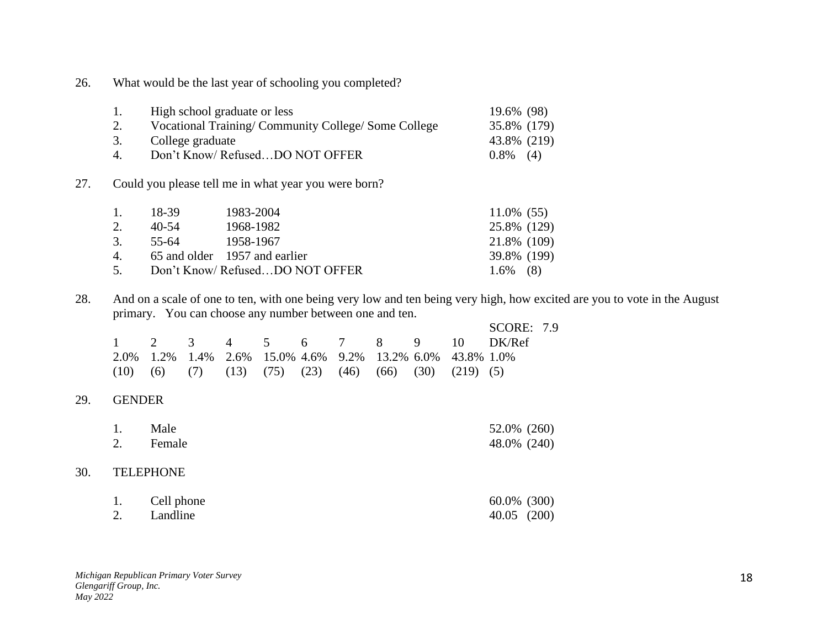26. What would be the last year of schooling you completed?

| 1. | High school graduate or less                       | 19.6% (98)  |  |
|----|----------------------------------------------------|-------------|--|
|    | Vocational Training/Community College/Some College | 35.8% (179) |  |
| 3. | College graduate                                   | 43.8% (219) |  |
| 4  | Don't Know/RefusedDO NOT OFFER                     | $0.8\%$ (4) |  |

27. Could you please tell me in what year you were born?

| 1. | - 18-39 | 1983-2004                        | $11.0\%$ (55) |  |
|----|---------|----------------------------------|---------------|--|
| 2. | 40-54   | 1968-1982                        | 25.8% (129)   |  |
| 3. | 55-64   | 1958-1967                        | 21.8% (109)   |  |
|    |         | 4. 65 and older 1957 and earlier | 39.8% (199)   |  |
| 5. |         | Don't Know/RefusedDO NOT OFFER   | $1.6\%$ (8)   |  |

28. And on a scale of one to ten, with one being very low and ten being very high, how excited are you to vote in the August primary. You can choose any number between one and ten.

|  |  |  |  |                                                                            | <b>SCORE: 7.9</b>           |  |
|--|--|--|--|----------------------------------------------------------------------------|-----------------------------|--|
|  |  |  |  |                                                                            | 1 2 3 4 5 6 7 8 9 10 DK/Ref |  |
|  |  |  |  | 2.0% 1.2% 1.4% 2.6% 15.0% 4.6% 9.2% 13.2% 6.0% 43.8% 1.0%                  |                             |  |
|  |  |  |  | $(10)$ $(6)$ $(7)$ $(13)$ $(75)$ $(23)$ $(46)$ $(66)$ $(30)$ $(219)$ $(5)$ |                             |  |

### 29. GENDER

|    | Male   | 52.0% (260) |  |
|----|--------|-------------|--|
| 2. | Female | 48.0% (240) |  |

#### 30. TELEPHONE

| Cell phone  | 60.0% (300)     |  |
|-------------|-----------------|--|
| 2. Landline | $40.05$ $(200)$ |  |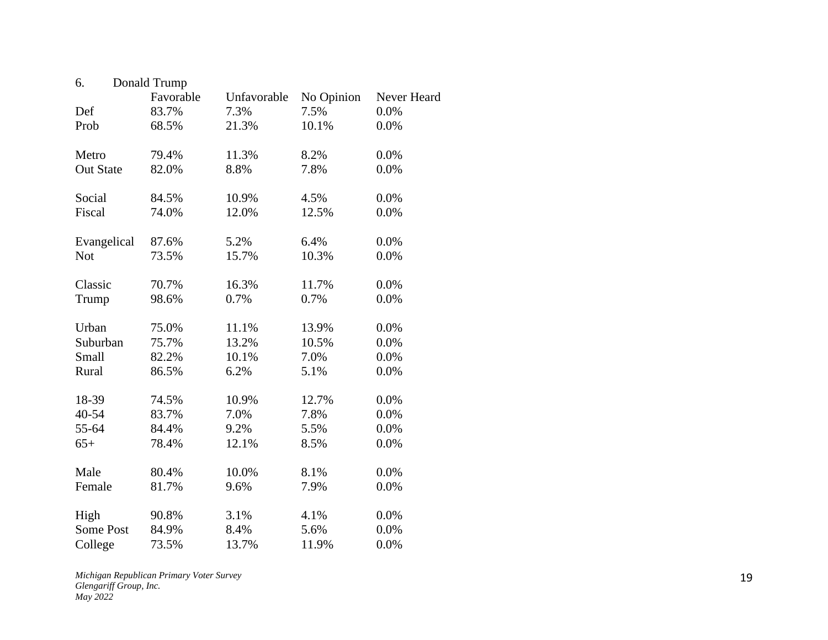| 6.               | Donald Trump |             |            |             |
|------------------|--------------|-------------|------------|-------------|
|                  | Favorable    | Unfavorable | No Opinion | Never Heard |
| Def              | 83.7%        | 7.3%        | 7.5%       | 0.0%        |
| Prob             | 68.5%        | 21.3%       | 10.1%      | 0.0%        |
| Metro            | 79.4%        | 11.3%       | 8.2%       | 0.0%        |
| <b>Out State</b> | 82.0%        | 8.8%        | 7.8%       | 0.0%        |
| Social           | 84.5%        | 10.9%       | 4.5%       | 0.0%        |
| Fiscal           | 74.0%        | 12.0%       | 12.5%      | 0.0%        |
| Evangelical      | 87.6%        | 5.2%        | 6.4%       | 0.0%        |
| <b>Not</b>       | 73.5%        | 15.7%       | 10.3%      | 0.0%        |
| Classic          | 70.7%        | 16.3%       | 11.7%      | 0.0%        |
| Trump            | 98.6%        | 0.7%        | 0.7%       | 0.0%        |
| Urban            | 75.0%        | 11.1%       | 13.9%      | 0.0%        |
| Suburban         | 75.7%        | 13.2%       | 10.5%      | 0.0%        |
| Small            | 82.2%        | 10.1%       | 7.0%       | 0.0%        |
| Rural            | 86.5%        | 6.2%        | 5.1%       | 0.0%        |
| 18-39            | 74.5%        | 10.9%       | 12.7%      | 0.0%        |
| 40-54            | 83.7%        | 7.0%        | 7.8%       | 0.0%        |
| 55-64            | 84.4%        | 9.2%        | 5.5%       | 0.0%        |
| $65+$            | 78.4%        | 12.1%       | 8.5%       | 0.0%        |
| Male             | 80.4%        | 10.0%       | 8.1%       | 0.0%        |
| Female           | 81.7%        | 9.6%        | 7.9%       | 0.0%        |
| High             | 90.8%        | 3.1%        | 4.1%       | 0.0%        |
| <b>Some Post</b> | 84.9%        | 8.4%        | 5.6%       | 0.0%        |
| College          | 73.5%        | 13.7%       | 11.9%      | 0.0%        |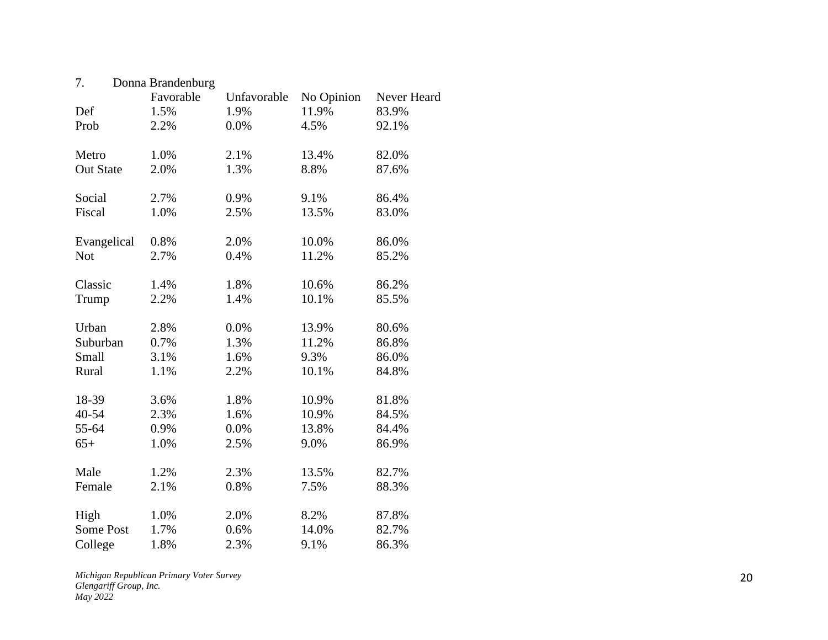| 7.               | Donna Brandenburg |             |            |             |
|------------------|-------------------|-------------|------------|-------------|
|                  | Favorable         | Unfavorable | No Opinion | Never Heard |
| Def              | 1.5%              | 1.9%        | 11.9%      | 83.9%       |
| Prob             | 2.2%              | 0.0%        | 4.5%       | 92.1%       |
| Metro            | 1.0%              | 2.1%        | 13.4%      | 82.0%       |
| <b>Out State</b> | 2.0%              | 1.3%        | 8.8%       | 87.6%       |
| Social           | 2.7%              | 0.9%        | 9.1%       | 86.4%       |
| Fiscal           | 1.0%              | 2.5%        | 13.5%      | 83.0%       |
| Evangelical      | 0.8%              | 2.0%        | 10.0%      | 86.0%       |
| Not              | 2.7%              | 0.4%        | 11.2%      | 85.2%       |
| Classic          | 1.4%              | 1.8%        | 10.6%      | 86.2%       |
| Trump            | 2.2%              | 1.4%        | 10.1%      | 85.5%       |
| Urban            | 2.8%              | 0.0%        | 13.9%      | 80.6%       |
| Suburban         | 0.7%              | 1.3%        | 11.2%      | 86.8%       |
| Small            | 3.1%              | 1.6%        | 9.3%       | 86.0%       |
| Rural            | 1.1%              | 2.2%        | 10.1%      | 84.8%       |
| 18-39            | 3.6%              | 1.8%        | 10.9%      | 81.8%       |
| 40-54            | 2.3%              | 1.6%        | 10.9%      | 84.5%       |
| 55-64            | 0.9%              | 0.0%        | 13.8%      | 84.4%       |
| $65+$            | 1.0%              | 2.5%        | 9.0%       | 86.9%       |
| Male             | 1.2%              | 2.3%        | 13.5%      | 82.7%       |
| Female           | 2.1%              | 0.8%        | 7.5%       | 88.3%       |
| High             | 1.0%              | 2.0%        | 8.2%       | 87.8%       |
| <b>Some Post</b> | 1.7%              | 0.6%        | 14.0%      | 82.7%       |
| College          | 1.8%              | 2.3%        | 9.1%       | 86.3%       |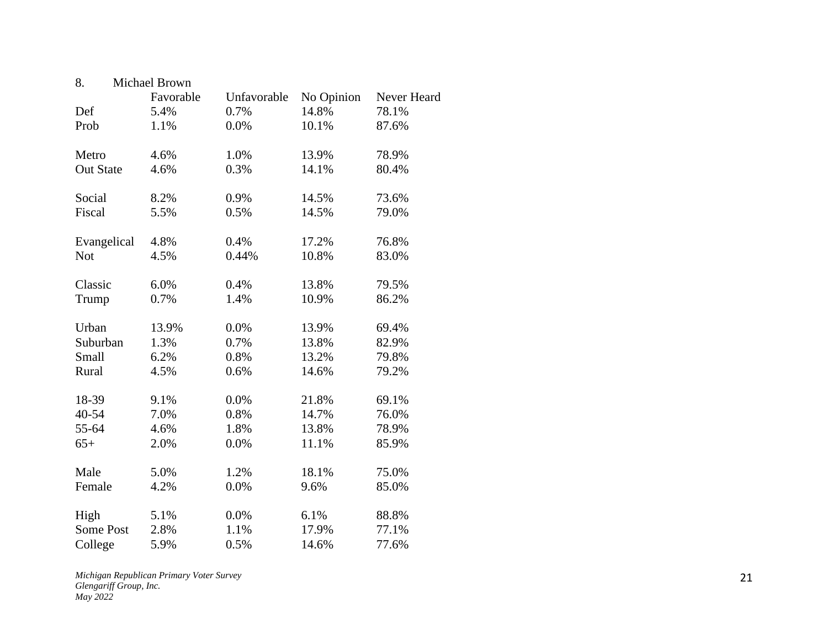| 8.               | Michael Brown |             |            |             |
|------------------|---------------|-------------|------------|-------------|
|                  | Favorable     | Unfavorable | No Opinion | Never Heard |
| Def              | 5.4%          | 0.7%        | 14.8%      | 78.1%       |
| Prob             | 1.1%          | 0.0%        | 10.1%      | 87.6%       |
| Metro            | 4.6%          | 1.0%        | 13.9%      | 78.9%       |
| <b>Out State</b> | 4.6%          | 0.3%        | 14.1%      | 80.4%       |
| Social           | 8.2%          | 0.9%        | 14.5%      | 73.6%       |
| Fiscal           | 5.5%          | 0.5%        | 14.5%      | 79.0%       |
| Evangelical      | 4.8%          | 0.4%        | 17.2%      | 76.8%       |
| <b>Not</b>       | 4.5%          | 0.44%       | 10.8%      | 83.0%       |
| Classic          | 6.0%          | 0.4%        | 13.8%      | 79.5%       |
| Trump            | 0.7%          | 1.4%        | 10.9%      | 86.2%       |
| Urban            | 13.9%         | 0.0%        | 13.9%      | 69.4%       |
| Suburban         | 1.3%          | 0.7%        | 13.8%      | 82.9%       |
| Small            | 6.2%          | 0.8%        | 13.2%      | 79.8%       |
| Rural            | 4.5%          | 0.6%        | 14.6%      | 79.2%       |
| 18-39            | 9.1%          | 0.0%        | 21.8%      | 69.1%       |
| 40-54            | 7.0%          | 0.8%        | 14.7%      | 76.0%       |
| 55-64            | 4.6%          | 1.8%        | 13.8%      | 78.9%       |
| $65+$            | 2.0%          | 0.0%        | 11.1%      | 85.9%       |
| Male             | 5.0%          | 1.2%        | 18.1%      | 75.0%       |
| Female           | 4.2%          | 0.0%        | 9.6%       | 85.0%       |
| High             | 5.1%          | 0.0%        | 6.1%       | 88.8%       |
| <b>Some Post</b> | 2.8%          | 1.1%        | 17.9%      | 77.1%       |
| College          | 5.9%          | 0.5%        | 14.6%      | 77.6%       |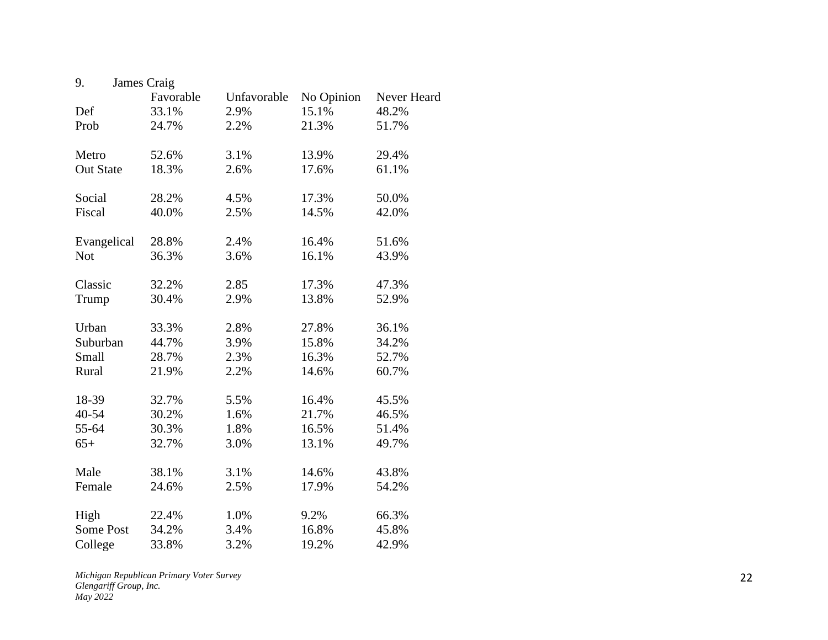| 9.               | James Craig |             |            |             |
|------------------|-------------|-------------|------------|-------------|
|                  | Favorable   | Unfavorable | No Opinion | Never Heard |
| Def              | 33.1%       | 2.9%        | 15.1%      | 48.2%       |
| Prob             | 24.7%       | 2.2%        | 21.3%      | 51.7%       |
| Metro            | 52.6%       | 3.1%        | 13.9%      | 29.4%       |
| <b>Out State</b> | 18.3%       | 2.6%        | 17.6%      | 61.1%       |
| Social           | 28.2%       | 4.5%        | 17.3%      | 50.0%       |
| Fiscal           | 40.0%       | 2.5%        | 14.5%      | 42.0%       |
| Evangelical      | 28.8%       | 2.4%        | 16.4%      | 51.6%       |
| <b>Not</b>       | 36.3%       | 3.6%        | 16.1%      | 43.9%       |
| Classic          | 32.2%       | 2.85        | 17.3%      | 47.3%       |
| Trump            | 30.4%       | 2.9%        | 13.8%      | 52.9%       |
| Urban            | 33.3%       | 2.8%        | 27.8%      | 36.1%       |
| Suburban         | 44.7%       | 3.9%        | 15.8%      | 34.2%       |
| Small            | 28.7%       | 2.3%        | 16.3%      | 52.7%       |
| Rural            | 21.9%       | 2.2%        | 14.6%      | 60.7%       |
| 18-39            | 32.7%       | 5.5%        | 16.4%      | 45.5%       |
| 40-54            | 30.2%       | 1.6%        | 21.7%      | 46.5%       |
| 55-64            | 30.3%       | 1.8%        | 16.5%      | 51.4%       |
| $65+$            | 32.7%       | 3.0%        | 13.1%      | 49.7%       |
| Male             | 38.1%       | 3.1%        | 14.6%      | 43.8%       |
| Female           | 24.6%       | 2.5%        | 17.9%      | 54.2%       |
| High             | 22.4%       | 1.0%        | 9.2%       | 66.3%       |
| <b>Some Post</b> | 34.2%       | 3.4%        | 16.8%      | 45.8%       |
| College          | 33.8%       | 3.2%        | 19.2%      | 42.9%       |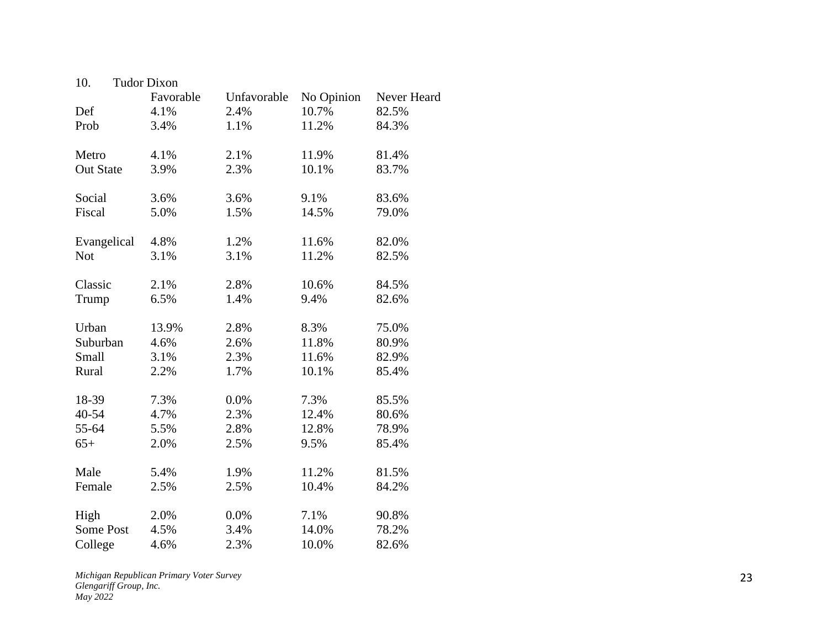| 10.              | <b>Tudor Dixon</b> |             |            |             |
|------------------|--------------------|-------------|------------|-------------|
|                  | Favorable          | Unfavorable | No Opinion | Never Heard |
| Def              | 4.1%               | 2.4%        | 10.7%      | 82.5%       |
| Prob             | 3.4%               | 1.1%        | 11.2%      | 84.3%       |
| Metro            | 4.1%               | 2.1%        | 11.9%      | 81.4%       |
| <b>Out State</b> | 3.9%               | 2.3%        | 10.1%      | 83.7%       |
| Social           | 3.6%               | 3.6%        | 9.1%       | 83.6%       |
| Fiscal           | 5.0%               | 1.5%        | 14.5%      | 79.0%       |
| Evangelical      | 4.8%               | 1.2%        | 11.6%      | 82.0%       |
| <b>Not</b>       | 3.1%               | 3.1%        | 11.2%      | 82.5%       |
| Classic          | 2.1%               | 2.8%        | 10.6%      | 84.5%       |
| Trump            | 6.5%               | 1.4%        | 9.4%       | 82.6%       |
| Urban            | 13.9%              | 2.8%        | 8.3%       | 75.0%       |
| Suburban         | 4.6%               | 2.6%        | 11.8%      | 80.9%       |
| Small            | 3.1%               | 2.3%        | 11.6%      | 82.9%       |
| Rural            | 2.2%               | 1.7%        | 10.1%      | 85.4%       |
| 18-39            | 7.3%               | 0.0%        | 7.3%       | 85.5%       |
| 40-54            | 4.7%               | 2.3%        | 12.4%      | 80.6%       |
| 55-64            | 5.5%               | 2.8%        | 12.8%      | 78.9%       |
| $65+$            | 2.0%               | 2.5%        | 9.5%       | 85.4%       |
| Male             | 5.4%               | 1.9%        | 11.2%      | 81.5%       |
| Female           | 2.5%               | 2.5%        | 10.4%      | 84.2%       |
| High             | 2.0%               | 0.0%        | 7.1%       | 90.8%       |
| Some Post        | 4.5%               | 3.4%        | 14.0%      | 78.2%       |
| College          | 4.6%               | 2.3%        | 10.0%      | 82.6%       |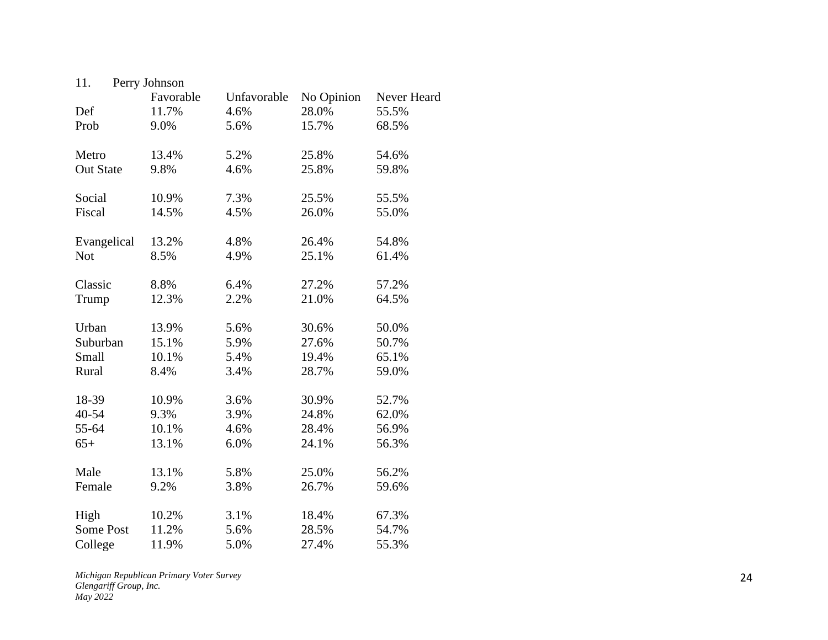| 11.              | Perry Johnson |             |            |             |
|------------------|---------------|-------------|------------|-------------|
|                  | Favorable     | Unfavorable | No Opinion | Never Heard |
| Def              | 11.7%         | 4.6%        | 28.0%      | 55.5%       |
| Prob             | 9.0%          | 5.6%        | 15.7%      | 68.5%       |
| Metro            | 13.4%         | 5.2%        | 25.8%      | 54.6%       |
| <b>Out State</b> | 9.8%          | 4.6%        | 25.8%      | 59.8%       |
| Social           | 10.9%         | 7.3%        | 25.5%      | 55.5%       |
| Fiscal           | 14.5%         | 4.5%        | 26.0%      | 55.0%       |
| Evangelical      | 13.2%         | 4.8%        | 26.4%      | 54.8%       |
| <b>Not</b>       | 8.5%          | 4.9%        | 25.1%      | 61.4%       |
| Classic          | 8.8%          | 6.4%        | 27.2%      | 57.2%       |
| Trump            | 12.3%         | 2.2%        | 21.0%      | 64.5%       |
| Urban            | 13.9%         | 5.6%        | 30.6%      | 50.0%       |
| Suburban         | 15.1%         | 5.9%        | 27.6%      | 50.7%       |
| Small            | 10.1%         | 5.4%        | 19.4%      | 65.1%       |
| Rural            | 8.4%          | 3.4%        | 28.7%      | 59.0%       |
| 18-39            | 10.9%         | 3.6%        | 30.9%      | 52.7%       |
| 40-54            | 9.3%          | 3.9%        | 24.8%      | 62.0%       |
| 55-64            | 10.1%         | 4.6%        | 28.4%      | 56.9%       |
| $65+$            | 13.1%         | 6.0%        | 24.1%      | 56.3%       |
| Male             | 13.1%         | 5.8%        | 25.0%      | 56.2%       |
| Female           | 9.2%          | 3.8%        | 26.7%      | 59.6%       |
| High             | 10.2%         | 3.1%        | 18.4%      | 67.3%       |
| <b>Some Post</b> | 11.2%         | 5.6%        | 28.5%      | 54.7%       |
| College          | 11.9%         | 5.0%        | 27.4%      | 55.3%       |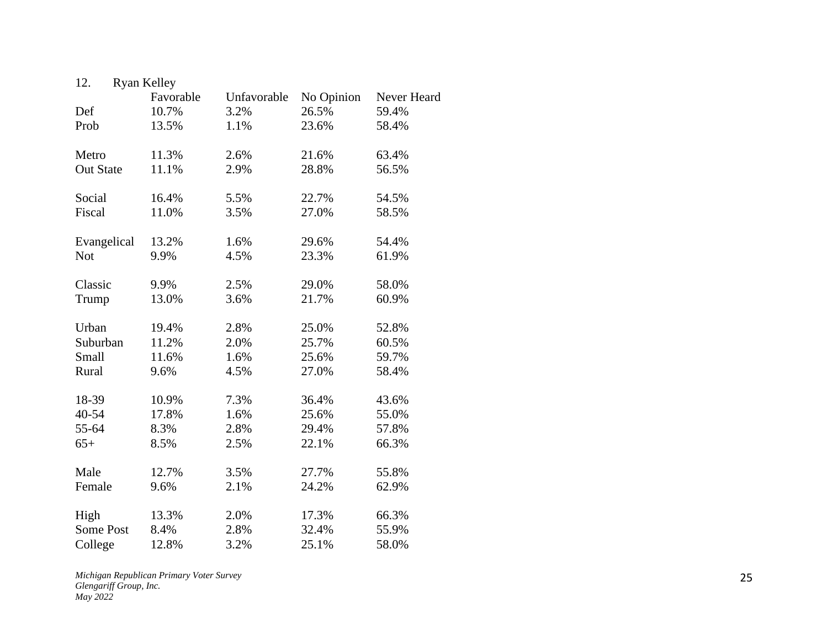| 12.              | <b>Ryan Kelley</b> |             |            |             |
|------------------|--------------------|-------------|------------|-------------|
|                  | Favorable          | Unfavorable | No Opinion | Never Heard |
| Def              | 10.7%              | 3.2%        | 26.5%      | 59.4%       |
| Prob             | 13.5%              | 1.1%        | 23.6%      | 58.4%       |
| Metro            | 11.3%              | 2.6%        | 21.6%      | 63.4%       |
| <b>Out State</b> | 11.1%              | 2.9%        | 28.8%      | 56.5%       |
| Social           | 16.4%              | 5.5%        | 22.7%      | 54.5%       |
| Fiscal           | 11.0%              | 3.5%        | 27.0%      | 58.5%       |
| Evangelical      | 13.2%              | 1.6%        | 29.6%      | 54.4%       |
| <b>Not</b>       | 9.9%               | 4.5%        | 23.3%      | 61.9%       |
| Classic          | 9.9%               | 2.5%        | 29.0%      | 58.0%       |
| Trump            | 13.0%              | 3.6%        | 21.7%      | 60.9%       |
| Urban            | 19.4%              | 2.8%        | 25.0%      | 52.8%       |
| Suburban         | 11.2%              | 2.0%        | 25.7%      | 60.5%       |
| Small            | 11.6%              | 1.6%        | 25.6%      | 59.7%       |
| Rural            | 9.6%               | 4.5%        | 27.0%      | 58.4%       |
| 18-39            | 10.9%              | 7.3%        | 36.4%      | 43.6%       |
| 40-54            | 17.8%              | 1.6%        | 25.6%      | 55.0%       |
| 55-64            | 8.3%               | 2.8%        | 29.4%      | 57.8%       |
| $65+$            | 8.5%               | 2.5%        | 22.1%      | 66.3%       |
| Male             | 12.7%              | 3.5%        | 27.7%      | 55.8%       |
| Female           | 9.6%               | 2.1%        | 24.2%      | 62.9%       |
| High             | 13.3%              | 2.0%        | 17.3%      | 66.3%       |
| <b>Some Post</b> | 8.4%               | 2.8%        | 32.4%      | 55.9%       |
| College          | 12.8%              | 3.2%        | 25.1%      | 58.0%       |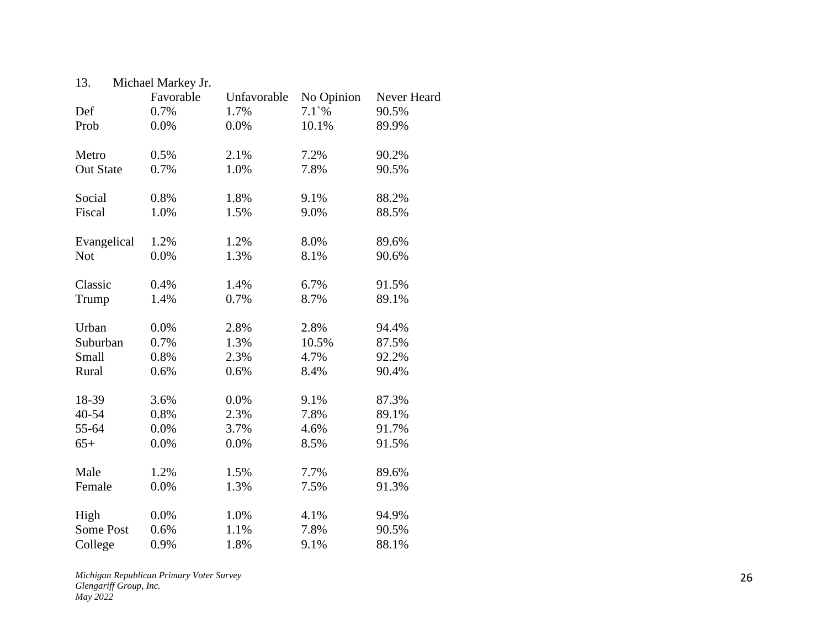| 13.              | Michael Markey Jr. |             |                 |             |
|------------------|--------------------|-------------|-----------------|-------------|
|                  | Favorable          | Unfavorable | No Opinion      | Never Heard |
| Def              | 0.7%               | 1.7%        | $7.1^{\circ}\%$ | 90.5%       |
| Prob             | 0.0%               | 0.0%        | 10.1%           | 89.9%       |
| Metro            | 0.5%               | 2.1%        | 7.2%            | 90.2%       |
| <b>Out State</b> | 0.7%               | 1.0%        | 7.8%            | 90.5%       |
| Social           | 0.8%               | 1.8%        | 9.1%            | 88.2%       |
| Fiscal           | 1.0%               | 1.5%        | 9.0%            | 88.5%       |
| Evangelical      | 1.2%               | 1.2%        | 8.0%            | 89.6%       |
| <b>Not</b>       | 0.0%               | 1.3%        | 8.1%            | 90.6%       |
| Classic          | 0.4%               | 1.4%        | 6.7%            | 91.5%       |
| Trump            | 1.4%               | 0.7%        | 8.7%            | 89.1%       |
| Urban            | 0.0%               | 2.8%        | 2.8%            | 94.4%       |
| Suburban         | 0.7%               | 1.3%        | 10.5%           | 87.5%       |
| Small            | 0.8%               | 2.3%        | 4.7%            | 92.2%       |
| Rural            | 0.6%               | 0.6%        | 8.4%            | 90.4%       |
| 18-39            | 3.6%               | 0.0%        | 9.1%            | 87.3%       |
| 40-54            | 0.8%               | 2.3%        | 7.8%            | 89.1%       |
| 55-64            | 0.0%               | 3.7%        | 4.6%            | 91.7%       |
| $65+$            | 0.0%               | 0.0%        | 8.5%            | 91.5%       |
| Male             | 1.2%               | 1.5%        | 7.7%            | 89.6%       |
| Female           | 0.0%               | 1.3%        | 7.5%            | 91.3%       |
| High             | 0.0%               | 1.0%        | 4.1%            | 94.9%       |
| <b>Some Post</b> | 0.6%               | 1.1%        | 7.8%            | 90.5%       |
| College          | 0.9%               | 1.8%        | 9.1%            | 88.1%       |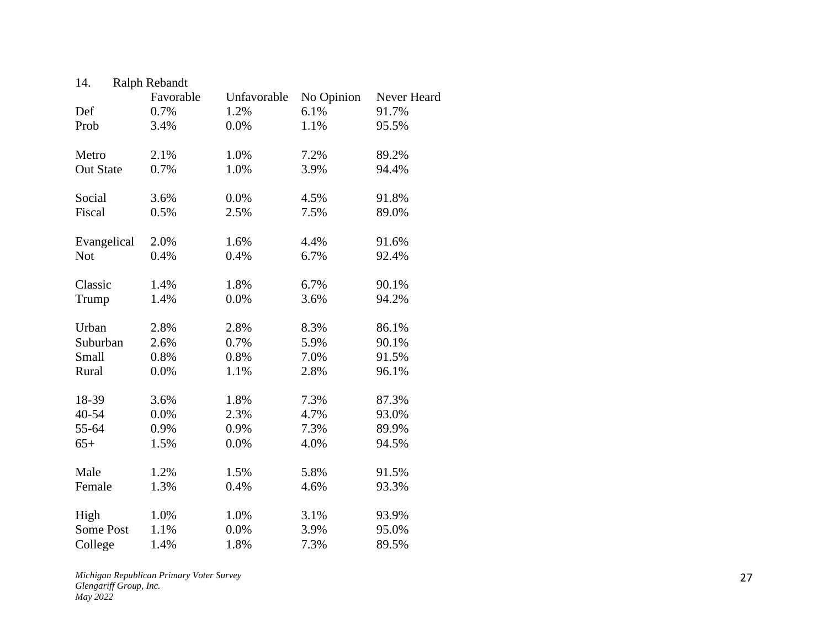| 14.              | Ralph Rebandt |             |            |             |
|------------------|---------------|-------------|------------|-------------|
|                  | Favorable     | Unfavorable | No Opinion | Never Heard |
| Def              | 0.7%          | 1.2%        | 6.1%       | 91.7%       |
| Prob             | 3.4%          | 0.0%        | 1.1%       | 95.5%       |
| Metro            | 2.1%          | 1.0%        | 7.2%       | 89.2%       |
| <b>Out State</b> | 0.7%          | 1.0%        | 3.9%       | 94.4%       |
| Social           | 3.6%          | 0.0%        | 4.5%       | 91.8%       |
| Fiscal           | 0.5%          | 2.5%        | 7.5%       | 89.0%       |
| Evangelical      | 2.0%          | 1.6%        | 4.4%       | 91.6%       |
| <b>Not</b>       | 0.4%          | 0.4%        | 6.7%       | 92.4%       |
| Classic          | 1.4%          | 1.8%        | 6.7%       | 90.1%       |
| Trump            | 1.4%          | 0.0%        | 3.6%       | 94.2%       |
| Urban            | 2.8%          | 2.8%        | 8.3%       | 86.1%       |
| Suburban         | 2.6%          | 0.7%        | 5.9%       | 90.1%       |
| Small            | 0.8%          | 0.8%        | 7.0%       | 91.5%       |
| Rural            | 0.0%          | 1.1%        | 2.8%       | 96.1%       |
| 18-39            | 3.6%          | 1.8%        | 7.3%       | 87.3%       |
| 40-54            | 0.0%          | 2.3%        | 4.7%       | 93.0%       |
| 55-64            | 0.9%          | 0.9%        | 7.3%       | 89.9%       |
| $65+$            | 1.5%          | 0.0%        | 4.0%       | 94.5%       |
| Male             | 1.2%          | 1.5%        | 5.8%       | 91.5%       |
| Female           | 1.3%          | 0.4%        | 4.6%       | 93.3%       |
| High             | 1.0%          | 1.0%        | 3.1%       | 93.9%       |
| <b>Some Post</b> | 1.1%          | 0.0%        | 3.9%       | 95.0%       |
| College          | 1.4%          | 1.8%        | 7.3%       | 89.5%       |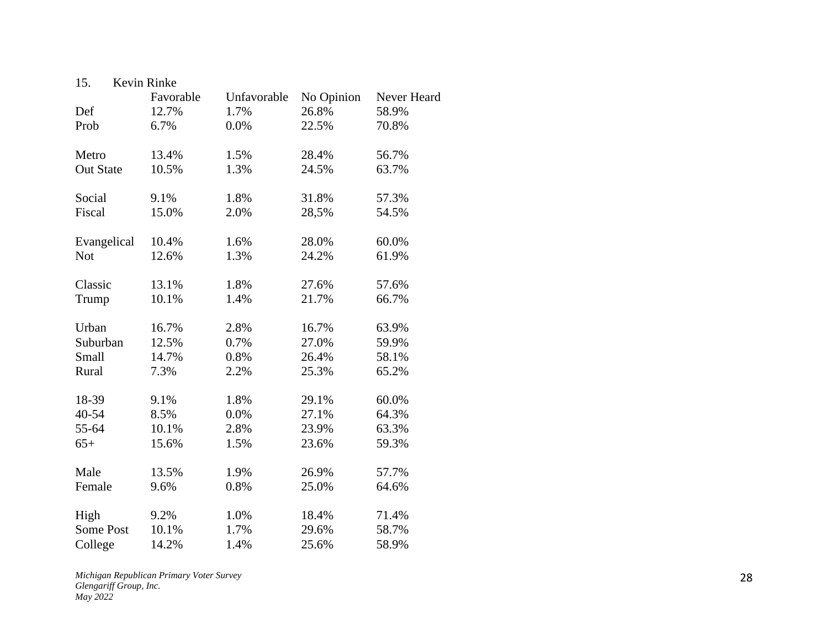| 15.              | Kevin Rinke |             |            |             |
|------------------|-------------|-------------|------------|-------------|
|                  | Favorable   | Unfavorable | No Opinion | Never Heard |
| Def              | 12.7%       | 1.7%        | 26.8%      | 58.9%       |
| Prob             | 6.7%        | 0.0%        | 22.5%      | 70.8%       |
| Metro            | 13.4%       | 1.5%        | 28.4%      | 56.7%       |
| <b>Out State</b> | 10.5%       | 1.3%        | 24.5%      | 63.7%       |
| Social           | 9.1%        | 1.8%        | 31.8%      | 57.3%       |
| Fiscal           | 15.0%       | 2.0%        | 28,5%      | 54.5%       |
| Evangelical      | 10.4%       | 1.6%        | 28.0%      | 60.0%       |
| <b>Not</b>       | 12.6%       | 1.3%        | 24.2%      | 61.9%       |
| Classic          | 13.1%       | 1.8%        | 27.6%      | 57.6%       |
| Trump            | 10.1%       | 1.4%        | 21.7%      | 66.7%       |
| Urban            | 16.7%       | 2.8%        | 16.7%      | 63.9%       |
| Suburban         | 12.5%       | 0.7%        | 27.0%      | 59.9%       |
| Small            | 14.7%       | 0.8%        | 26.4%      | 58.1%       |
| Rural            | 7.3%        | 2.2%        | 25.3%      | 65.2%       |
| 18-39            | 9.1%        | 1.8%        | 29.1%      | 60.0%       |
| 40-54            | 8.5%        | 0.0%        | 27.1%      | 64.3%       |
| 55-64            | 10.1%       | 2.8%        | 23.9%      | 63.3%       |
| $65+$            | 15.6%       | 1.5%        | 23.6%      | 59.3%       |
| Male             | 13.5%       | 1.9%        | 26.9%      | 57.7%       |
| Female           | 9.6%        | 0.8%        | 25.0%      | 64.6%       |
| High             | 9.2%        | 1.0%        | 18.4%      | 71.4%       |
| <b>Some Post</b> | 10.1%       | 1.7%        | 29.6%      | 58.7%       |
| College          | 14.2%       | 1.4%        | 25.6%      | 58.9%       |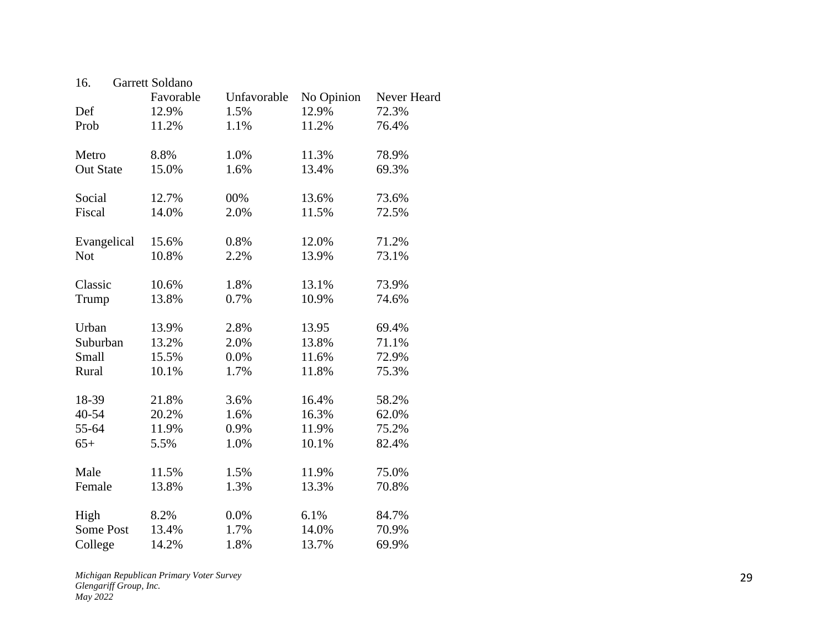| 16.              | Garrett Soldano |             |            |             |
|------------------|-----------------|-------------|------------|-------------|
|                  | Favorable       | Unfavorable | No Opinion | Never Heard |
| Def              | 12.9%           | 1.5%        | 12.9%      | 72.3%       |
| Prob             | 11.2%           | 1.1%        | 11.2%      | 76.4%       |
| Metro            | 8.8%            | 1.0%        | 11.3%      | 78.9%       |
| <b>Out State</b> | 15.0%           | 1.6%        | 13.4%      | 69.3%       |
| Social           | 12.7%           | $00\%$      | 13.6%      | 73.6%       |
| Fiscal           | 14.0%           | 2.0%        | 11.5%      | 72.5%       |
| Evangelical      | 15.6%           | 0.8%        | 12.0%      | 71.2%       |
| <b>Not</b>       | 10.8%           | 2.2%        | 13.9%      | 73.1%       |
| Classic          | 10.6%           | 1.8%        | 13.1%      | 73.9%       |
| Trump            | 13.8%           | 0.7%        | 10.9%      | 74.6%       |
| Urban            | 13.9%           | 2.8%        | 13.95      | 69.4%       |
| Suburban         | 13.2%           | 2.0%        | 13.8%      | 71.1%       |
| Small            | 15.5%           | 0.0%        | 11.6%      | 72.9%       |
| Rural            | 10.1%           | 1.7%        | 11.8%      | 75.3%       |
| 18-39            | 21.8%           | 3.6%        | 16.4%      | 58.2%       |
| 40-54            | 20.2%           | 1.6%        | 16.3%      | 62.0%       |
| 55-64            | 11.9%           | 0.9%        | 11.9%      | 75.2%       |
| $65+$            | 5.5%            | 1.0%        | 10.1%      | 82.4%       |
| Male             | 11.5%           | 1.5%        | 11.9%      | 75.0%       |
| Female           | 13.8%           | 1.3%        | 13.3%      | 70.8%       |
| High             | 8.2%            | 0.0%        | 6.1%       | 84.7%       |
| <b>Some Post</b> | 13.4%           | 1.7%        | 14.0%      | 70.9%       |
| College          | 14.2%           | 1.8%        | 13.7%      | 69.9%       |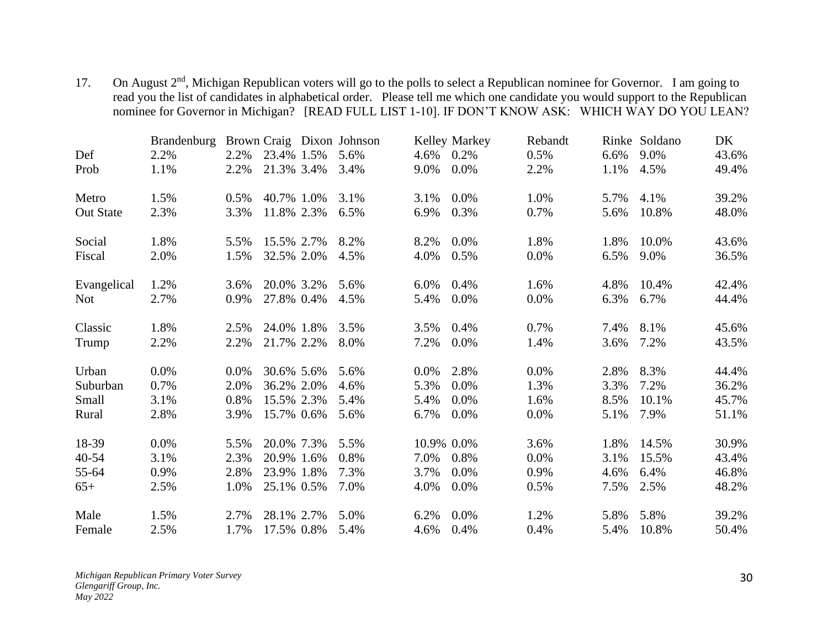17. On August 2<sup>nd</sup>, Michigan Republican voters will go to the polls to select a Republican nominee for Governor. I am going to read you the list of candidates in alphabetical order. Please tell me which one candidate you would support to the Republican nominee for Governor in Michigan? [READ FULL LIST 1-10]. IF DON'T KNOW ASK: WHICH WAY DO YOU LEAN?

|                  | <b>Brandenburg</b> |      |            | Brown Craig Dixon Johnson |            | Kelley Markey | Rebandt |      | Rinke Soldano | DK    |
|------------------|--------------------|------|------------|---------------------------|------------|---------------|---------|------|---------------|-------|
| Def              | 2.2%               | 2.2% | 23.4% 1.5% | 5.6%                      | 4.6%       | 0.2%          | 0.5%    | 6.6% | 9.0%          | 43.6% |
| Prob             | 1.1%               | 2.2% | 21.3% 3.4% | 3.4%                      | 9.0%       | $0.0\%$       | 2.2%    | 1.1% | 4.5%          | 49.4% |
| Metro            | 1.5%               | 0.5% | 40.7% 1.0% | 3.1%                      | 3.1%       | $0.0\%$       | 1.0%    | 5.7% | 4.1%          | 39.2% |
| <b>Out State</b> | 2.3%               | 3.3% | 11.8% 2.3% | 6.5%                      | 6.9%       | 0.3%          | 0.7%    | 5.6% | 10.8%         | 48.0% |
| Social           | 1.8%               | 5.5% | 15.5% 2.7% | 8.2%                      | 8.2%       | $0.0\%$       | 1.8%    | 1.8% | 10.0%         | 43.6% |
| Fiscal           | 2.0%               | 1.5% | 32.5% 2.0% | 4.5%                      | 4.0%       | 0.5%          | 0.0%    | 6.5% | 9.0%          | 36.5% |
| Evangelical      | 1.2%               | 3.6% | 20.0% 3.2% | 5.6%                      | 6.0%       | 0.4%          | 1.6%    | 4.8% | 10.4%         | 42.4% |
| <b>Not</b>       | 2.7%               | 0.9% | 27.8% 0.4% | 4.5%                      | 5.4%       | 0.0%          | 0.0%    | 6.3% | 6.7%          | 44.4% |
| Classic          | 1.8%               | 2.5% | 24.0% 1.8% | 3.5%                      | 3.5%       | 0.4%          | 0.7%    | 7.4% | 8.1%          | 45.6% |
| Trump            | 2.2%               | 2.2% | 21.7% 2.2% | 8.0%                      | 7.2%       | 0.0%          | 1.4%    | 3.6% | 7.2%          | 43.5% |
| Urban            | 0.0%               | 0.0% | 30.6% 5.6% | 5.6%                      | $0.0\%$    | 2.8%          | $0.0\%$ | 2.8% | 8.3%          | 44.4% |
| Suburban         | 0.7%               | 2.0% | 36.2% 2.0% | 4.6%                      | 5.3%       | 0.0%          | 1.3%    | 3.3% | 7.2%          | 36.2% |
| Small            | 3.1%               | 0.8% | 15.5% 2.3% | 5.4%                      | 5.4%       | 0.0%          | 1.6%    | 8.5% | 10.1%         | 45.7% |
| Rural            | 2.8%               | 3.9% | 15.7% 0.6% | 5.6%                      | 6.7%       | $0.0\%$       | 0.0%    | 5.1% | 7.9%          | 51.1% |
| 18-39            | 0.0%               | 5.5% | 20.0% 7.3% | 5.5%                      | 10.9% 0.0% |               | 3.6%    | 1.8% | 14.5%         | 30.9% |
| $40 - 54$        | 3.1%               | 2.3% | 20.9% 1.6% | 0.8%                      | 7.0%       | 0.8%          | 0.0%    | 3.1% | 15.5%         | 43.4% |
| 55-64            | 0.9%               | 2.8% | 23.9% 1.8% | 7.3%                      | 3.7%       | 0.0%          | 0.9%    | 4.6% | 6.4%          | 46.8% |
| $65+$            | 2.5%               | 1.0% | 25.1% 0.5% | 7.0%                      | 4.0%       | $0.0\%$       | 0.5%    | 7.5% | 2.5%          | 48.2% |
| Male             | 1.5%               | 2.7% | 28.1% 2.7% | 5.0%                      | 6.2%       | $0.0\%$       | 1.2%    | 5.8% | 5.8%          | 39.2% |
| Female           | 2.5%               | 1.7% | 17.5% 0.8% | 5.4%                      | 4.6%       | 0.4%          | 0.4%    | 5.4% | 10.8%         | 50.4% |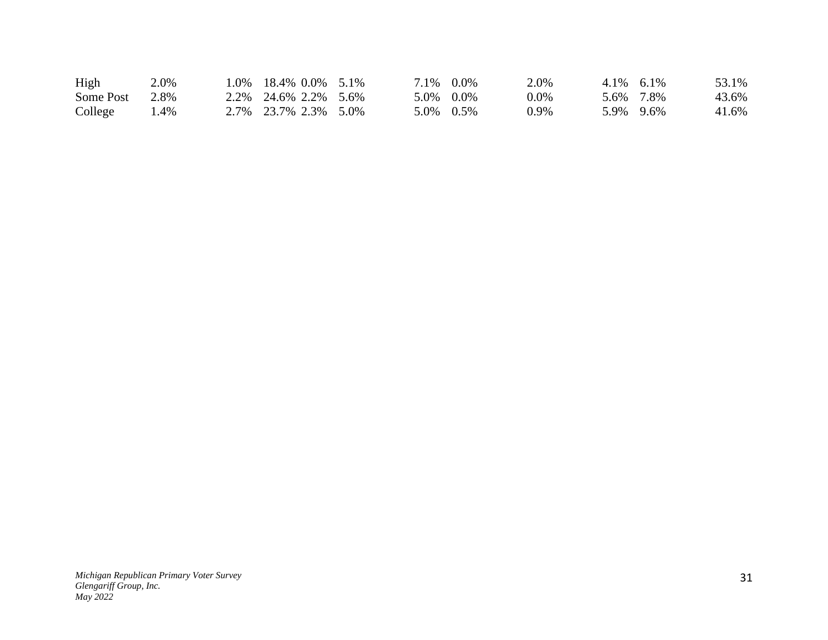| High      | 2.0% | 1.0% 18.4% 0.0% 5.1%     |  | 7.1\% 0.0\% | 2.0% | $4.1\%$ 6.1\% | 53.1% |
|-----------|------|--------------------------|--|-------------|------|---------------|-------|
| Some Post | 2.8% | 2.2\% 24.6\% 2.2\% 5.6\% |  | 5.0% 0.0%   | 0.0% | 5.6% 7.8%     | 43.6% |
| College   | 4%   | 2.7% 23.7% 2.3% 5.0%     |  | 5.0% 0.5%   | 0.9% | 5.9% 9.6%     | 41.6% |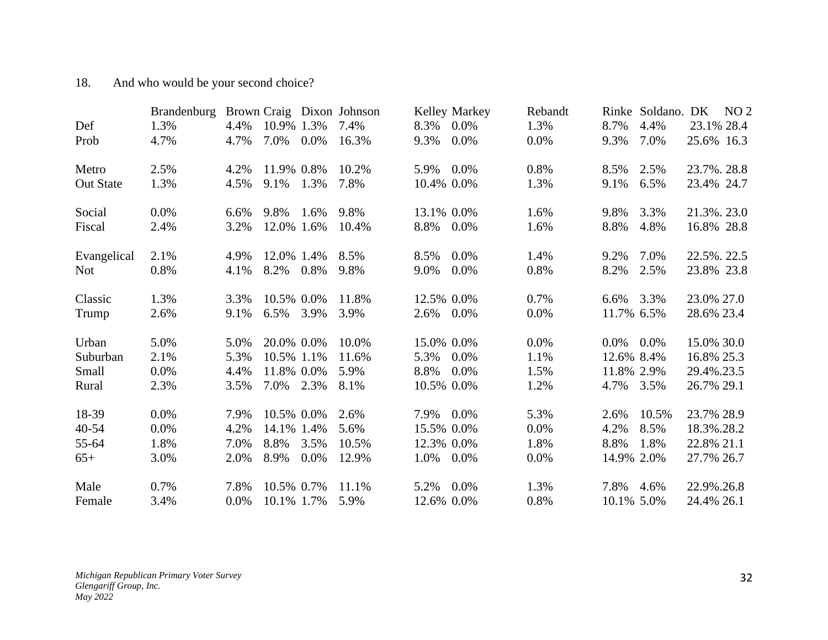# 18. And who would be your second choice?

| Def              | <b>Brandenburg</b><br>1.3% | 4.4% | 10.9% 1.3% |         | Brown Craig Dixon Johnson<br>7.4% | 8.3%       | Kelley Markey<br>$0.0\%$ | Rebandt<br>1.3% | 8.7%       | Rinke Soldano. DK<br>4.4% | 23.1% 28.4  | NO <sub>2</sub> |
|------------------|----------------------------|------|------------|---------|-----------------------------------|------------|--------------------------|-----------------|------------|---------------------------|-------------|-----------------|
| Prob             | 4.7%                       | 4.7% | 7.0%       | $0.0\%$ | 16.3%                             | 9.3%       | 0.0%                     | 0.0%            | 9.3%       | 7.0%                      | 25.6% 16.3  |                 |
| Metro            | 2.5%                       | 4.2% | 11.9% 0.8% |         | 10.2%                             | 5.9%       | $0.0\%$                  | 0.8%            | 8.5%       | 2.5%                      | 23.7%, 28.8 |                 |
| <b>Out State</b> | 1.3%                       | 4.5% | 9.1%       | 1.3%    | 7.8%                              | 10.4% 0.0% |                          | 1.3%            | 9.1%       | 6.5%                      | 23.4% 24.7  |                 |
| Social           | $0.0\%$                    | 6.6% | 9.8%       | 1.6%    | 9.8%                              | 13.1% 0.0% |                          | 1.6%            | 9.8%       | 3.3%                      | 21.3%. 23.0 |                 |
| Fiscal           | 2.4%                       | 3.2% | 12.0% 1.6% |         | 10.4%                             | 8.8%       | $0.0\%$                  | 1.6%            | 8.8%       | 4.8%                      | 16.8% 28.8  |                 |
| Evangelical      | 2.1%                       | 4.9% | 12.0% 1.4% |         | 8.5%                              | 8.5%       | 0.0%                     | 1.4%            | 9.2%       | 7.0%                      | 22.5%. 22.5 |                 |
| <b>Not</b>       | 0.8%                       | 4.1% | 8.2%       | 0.8%    | 9.8%                              | 9.0%       | 0.0%                     | 0.8%            | 8.2%       | 2.5%                      | 23.8% 23.8  |                 |
| Classic          | 1.3%                       | 3.3% | 10.5% 0.0% |         | 11.8%                             | 12.5% 0.0% |                          | 0.7%            | 6.6%       | 3.3%                      | 23.0% 27.0  |                 |
| Trump            | 2.6%                       | 9.1% | 6.5%       | 3.9%    | 3.9%                              | 2.6%       | $0.0\%$                  | 0.0%            | 11.7% 6.5% |                           | 28.6% 23.4  |                 |
| Urban            | 5.0%                       | 5.0% | 20.0% 0.0% |         | 10.0%                             | 15.0% 0.0% |                          | 0.0%            | $0.0\%$    | $0.0\%$                   | 15.0% 30.0  |                 |
| Suburban         | 2.1%                       | 5.3% | 10.5% 1.1% |         | 11.6%                             | 5.3%       | 0.0%                     | 1.1%            | 12.6% 8.4% |                           | 16.8% 25.3  |                 |
| Small            | 0.0%                       | 4.4% | 11.8% 0.0% |         | 5.9%                              | 8.8%       | 0.0%                     | 1.5%            | 11.8% 2.9% |                           | 29.4%.23.5  |                 |
| Rural            | 2.3%                       | 3.5% | 7.0% 2.3%  |         | 8.1%                              | 10.5% 0.0% |                          | 1.2%            | 4.7%       | 3.5%                      | 26.7% 29.1  |                 |
| 18-39            | $0.0\%$                    | 7.9% | 10.5% 0.0% |         | 2.6%                              | 7.9%       | $0.0\%$                  | 5.3%            | 2.6%       | 10.5%                     | 23.7% 28.9  |                 |
| $40 - 54$        | $0.0\%$                    | 4.2% | 14.1% 1.4% |         | 5.6%                              | 15.5% 0.0% |                          | 0.0%            | 4.2%       | 8.5%                      | 18.3%.28.2  |                 |
| 55-64            | 1.8%                       | 7.0% | 8.8%       | 3.5%    | 10.5%                             | 12.3% 0.0% |                          | 1.8%            | 8.8%       | 1.8%                      | 22.8% 21.1  |                 |
| $65+$            | 3.0%                       | 2.0% | 8.9%       | $0.0\%$ | 12.9%                             | 1.0%       | $0.0\%$                  | 0.0%            | 14.9% 2.0% |                           | 27.7% 26.7  |                 |
| Male             | 0.7%                       | 7.8% | 10.5% 0.7% |         | 11.1%                             | 5.2%       | 0.0%                     | 1.3%            | 7.8%       | 4.6%                      | 22.9%.26.8  |                 |
| Female           | 3.4%                       | 0.0% | 10.1% 1.7% |         | 5.9%                              | 12.6% 0.0% |                          | 0.8%            | 10.1% 5.0% |                           | 24.4% 26.1  |                 |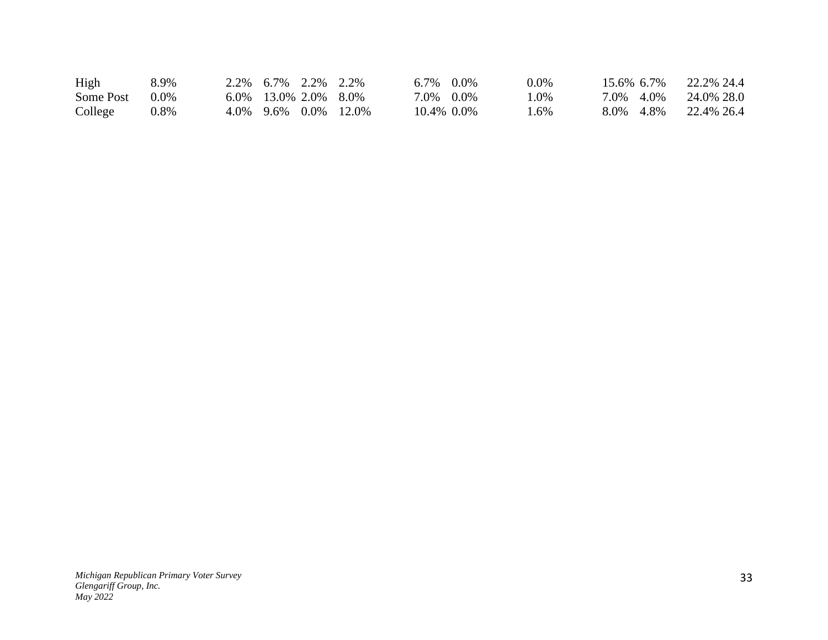| High           | 8.9% | 2.2\% 6.7\% 2.2\% 2.2\%    |  | $6.7\%$ 0.0% | $0.0\%$ | $15.6\%$ 6.7% | 22.2\% 24.4             |
|----------------|------|----------------------------|--|--------------|---------|---------------|-------------------------|
| Some Post 0.0% |      | $6.0\%$ 13.0\% 2.0\% 8.0\% |  | 7.0% 0.0%    | $.0\%$  |               | 7.0\% 4.0\% 24.0\% 28.0 |
| College        | 0.8% | 4.0% 9.6% 0.0% 12.0%       |  | 10.4% 0.0%   | . .6%   |               | 8.0\% 4.8\% 22.4\% 26.4 |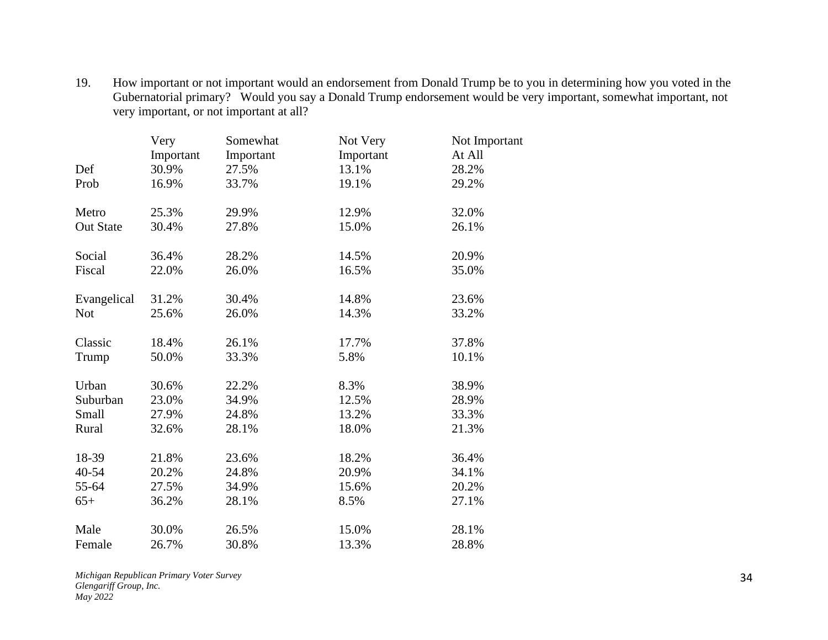19. How important or not important would an endorsement from Donald Trump be to you in determining how you voted in the Gubernatorial primary? Would you say a Donald Trump endorsement would be very important, somewhat important, not very important, or not important at all?

|                  | Very      | Somewhat  | Not Very  | Not Important |
|------------------|-----------|-----------|-----------|---------------|
|                  | Important | Important | Important | At All        |
| Def              | 30.9%     | 27.5%     | 13.1%     | 28.2%         |
| Prob             | 16.9%     | 33.7%     | 19.1%     | 29.2%         |
| Metro            | 25.3%     | 29.9%     | 12.9%     | 32.0%         |
| <b>Out State</b> | 30.4%     | 27.8%     | 15.0%     | 26.1%         |
| Social           | 36.4%     | 28.2%     | 14.5%     | 20.9%         |
| Fiscal           | 22.0%     | 26.0%     | 16.5%     | 35.0%         |
| Evangelical      | 31.2%     | 30.4%     | 14.8%     | 23.6%         |
| <b>Not</b>       | 25.6%     | 26.0%     | 14.3%     | 33.2%         |
| Classic          | 18.4%     | 26.1%     | 17.7%     | 37.8%         |
| Trump            | 50.0%     | 33.3%     | 5.8%      | 10.1%         |
| Urban            | 30.6%     | 22.2%     | 8.3%      | 38.9%         |
| Suburban         | 23.0%     | 34.9%     | 12.5%     | 28.9%         |
| Small            | 27.9%     | 24.8%     | 13.2%     | 33.3%         |
| Rural            | 32.6%     | 28.1%     | 18.0%     | 21.3%         |
| 18-39            | 21.8%     | 23.6%     | 18.2%     | 36.4%         |
| 40-54            | 20.2%     | 24.8%     | 20.9%     | 34.1%         |
| 55-64            | 27.5%     | 34.9%     | 15.6%     | 20.2%         |
| $65+$            | 36.2%     | 28.1%     | 8.5%      | 27.1%         |
| Male             | 30.0%     | 26.5%     | 15.0%     | 28.1%         |
| Female           | 26.7%     | 30.8%     | 13.3%     | 28.8%         |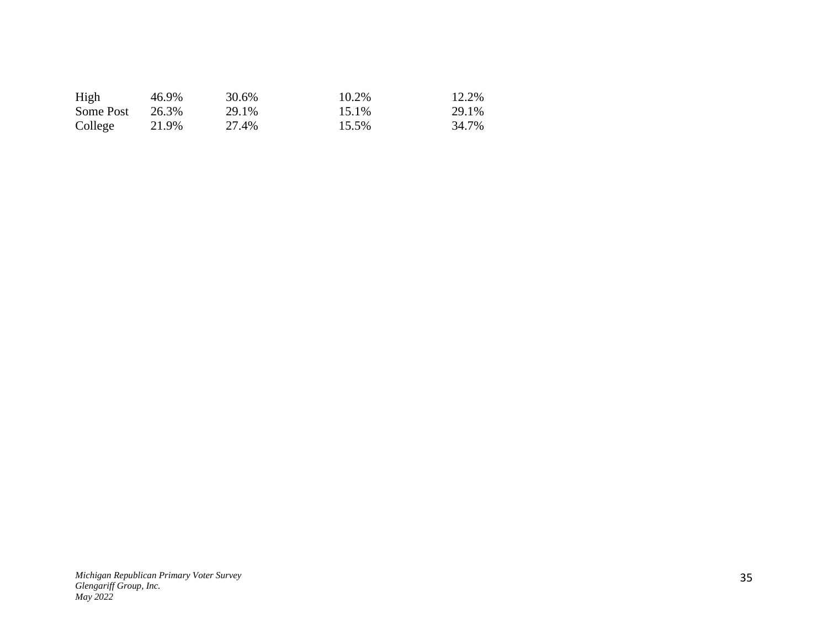| High      | 46.9% | 30.6% | 10.2% | 12.2% |
|-----------|-------|-------|-------|-------|
| Some Post | 26.3% | 29.1% | 15.1% | 29.1% |
| College   | 21.9% | 27.4% | 15.5% | 34.7% |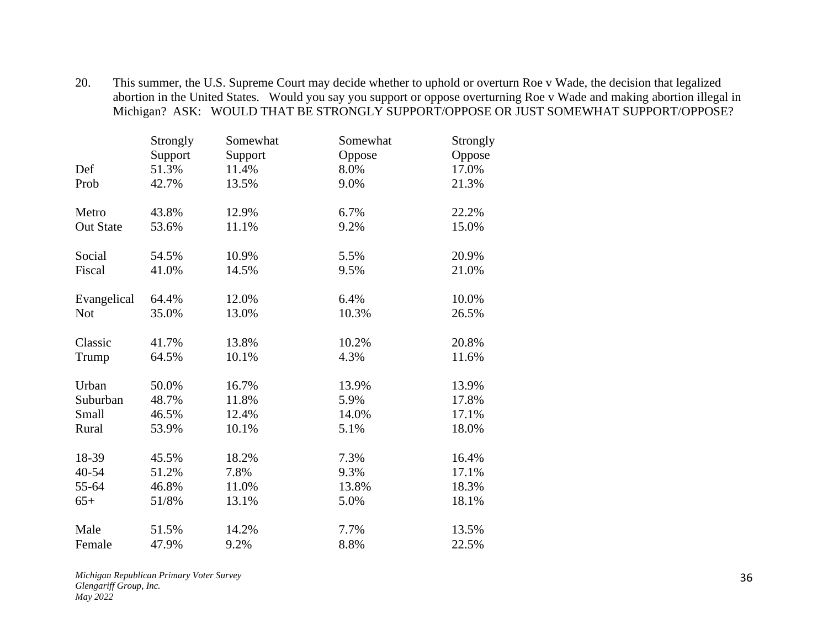20. This summer, the U.S. Supreme Court may decide whether to uphold or overturn Roe v Wade, the decision that legalized abortion in the United States. Would you say you support or oppose overturning Roe v Wade and making abortion illegal in Michigan? ASK: WOULD THAT BE STRONGLY SUPPORT/OPPOSE OR JUST SOMEWHAT SUPPORT/OPPOSE?

|                  | Strongly | Somewhat | Somewhat | Strongly |
|------------------|----------|----------|----------|----------|
|                  | Support  | Support  | Oppose   | Oppose   |
| Def              | 51.3%    | 11.4%    | 8.0%     | 17.0%    |
| Prob             | 42.7%    | 13.5%    | 9.0%     | 21.3%    |
| Metro            | 43.8%    | 12.9%    | 6.7%     | 22.2%    |
| <b>Out State</b> | 53.6%    | 11.1%    | 9.2%     | 15.0%    |
| Social           | 54.5%    | 10.9%    | 5.5%     | 20.9%    |
| Fiscal           | 41.0%    | 14.5%    | 9.5%     | 21.0%    |
| Evangelical      | 64.4%    | 12.0%    | 6.4%     | 10.0%    |
| <b>Not</b>       | 35.0%    | 13.0%    | 10.3%    | 26.5%    |
| Classic          | 41.7%    | 13.8%    | 10.2%    | 20.8%    |
| Trump            | 64.5%    | 10.1%    | 4.3%     | 11.6%    |
| Urban            | 50.0%    | 16.7%    | 13.9%    | 13.9%    |
| Suburban         | 48.7%    | 11.8%    | 5.9%     | 17.8%    |
| Small            | 46.5%    | 12.4%    | 14.0%    | 17.1%    |
| Rural            | 53.9%    | 10.1%    | 5.1%     | 18.0%    |
| 18-39            | 45.5%    | 18.2%    | 7.3%     | 16.4%    |
| 40-54            | 51.2%    | 7.8%     | 9.3%     | 17.1%    |
| 55-64            | 46.8%    | 11.0%    | 13.8%    | 18.3%    |
| $65+$            | 51/8%    | 13.1%    | 5.0%     | 18.1%    |
| Male             | 51.5%    | 14.2%    | 7.7%     | 13.5%    |
| Female           | 47.9%    | 9.2%     | 8.8%     | 22.5%    |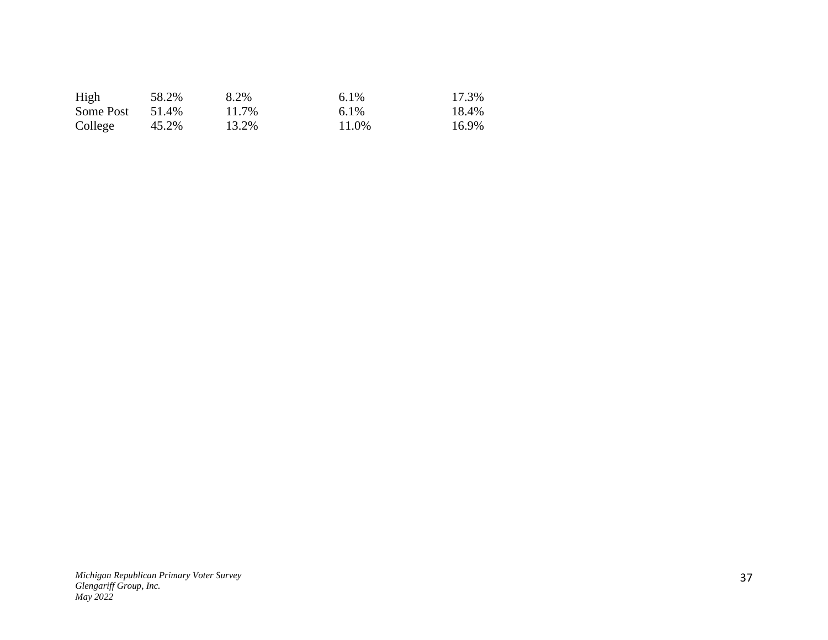| High      | 58.2% | 8.2%  | $6.1\%$ | 17.3% |
|-----------|-------|-------|---------|-------|
| Some Post | 51.4% | 11.7% | $6.1\%$ | 18.4% |
| College   | 45.2% | 13.2% | 11.0%   | 16.9% |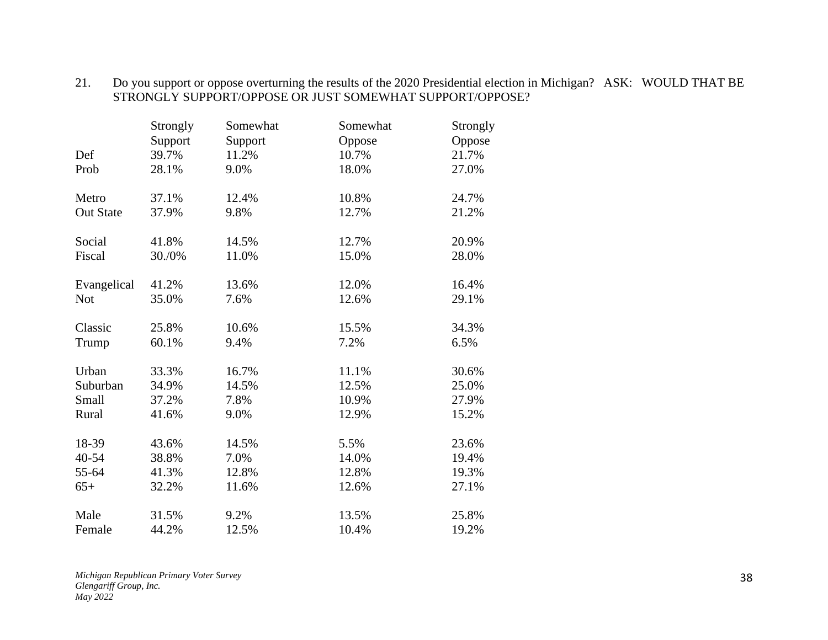#### 21. Do you support or oppose overturning the results of the 2020 Presidential election in Michigan? ASK: WOULD THAT BE STRONGLY SUPPORT/OPPOSE OR JUST SOMEWHAT SUPPORT/OPPOSE?

|                  | Strongly | Somewhat | Somewhat | Strongly |
|------------------|----------|----------|----------|----------|
|                  | Support  | Support  | Oppose   | Oppose   |
| Def              | 39.7%    | 11.2%    | 10.7%    | 21.7%    |
| Prob             | 28.1%    | 9.0%     | 18.0%    | 27.0%    |
| Metro            | 37.1%    | 12.4%    | 10.8%    | 24.7%    |
| <b>Out State</b> | 37.9%    | 9.8%     | 12.7%    | 21.2%    |
| Social           | 41.8%    | 14.5%    | 12.7%    | 20.9%    |
| Fiscal           | 30./0%   | 11.0%    | 15.0%    | 28.0%    |
| Evangelical      | 41.2%    | 13.6%    | 12.0%    | 16.4%    |
| <b>Not</b>       | 35.0%    | 7.6%     | 12.6%    | 29.1%    |
| Classic          | 25.8%    | 10.6%    | 15.5%    | 34.3%    |
| Trump            | 60.1%    | 9.4%     | 7.2%     | 6.5%     |
| Urban            | 33.3%    | 16.7%    | 11.1%    | 30.6%    |
| Suburban         | 34.9%    | 14.5%    | 12.5%    | 25.0%    |
| Small            | 37.2%    | 7.8%     | 10.9%    | 27.9%    |
| Rural            | 41.6%    | 9.0%     | 12.9%    | 15.2%    |
| 18-39            | 43.6%    | 14.5%    | 5.5%     | 23.6%    |
| 40-54            | 38.8%    | 7.0%     | 14.0%    | 19.4%    |
| 55-64            | 41.3%    | 12.8%    | 12.8%    | 19.3%    |
| $65+$            | 32.2%    | 11.6%    | 12.6%    | 27.1%    |
| Male             | 31.5%    | 9.2%     | 13.5%    | 25.8%    |
| Female           | 44.2%    | 12.5%    | 10.4%    | 19.2%    |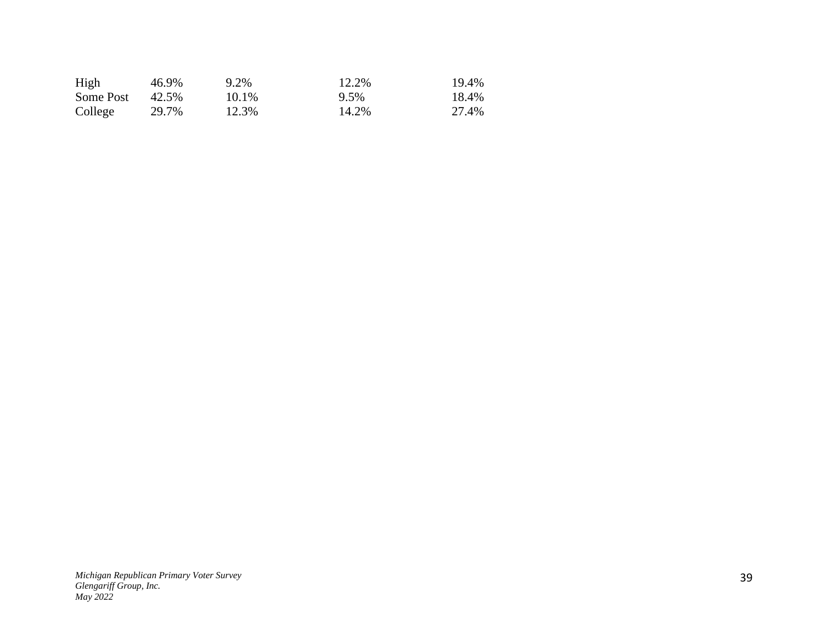| High      | 46.9% | 9.2%  | 12.2% | 19.4% |
|-----------|-------|-------|-------|-------|
| Some Post | 42.5% | 10.1% | 9.5%  | 18.4% |
| College   | 29.7% | 12.3% | 14.2% | 27.4% |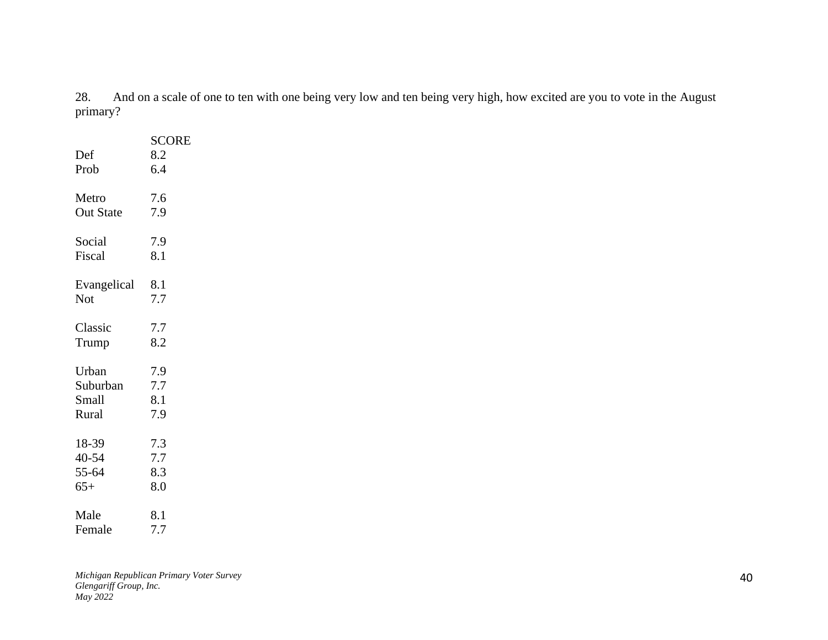28. And on a scale of one to ten with one being very low and ten being very high, how excited are you to vote in the August primary?

| Def<br>Prob      | <b>SCORE</b><br>8.2<br>6.4 |
|------------------|----------------------------|
| Metro            | 7.6                        |
| <b>Out State</b> | 7.9                        |
| Social           | 7.9                        |
| Fiscal           | 8.1                        |
| Evangelical      | 8.1                        |
| Not              | 7.7                        |
| Classic          | 7.7                        |
| Trump            | 8.2                        |
| Urban            | 7.9                        |
| Suburban         | 7.7                        |
| Small            | 8.1                        |
| Rural            | 7.9                        |
| 18-39            | 7.3                        |
| 40-54            | 7.7                        |
| 55-64            | 8.3                        |
| $65+$            | 8.0                        |
| Male             | 8.1                        |
| Female           | 7.7                        |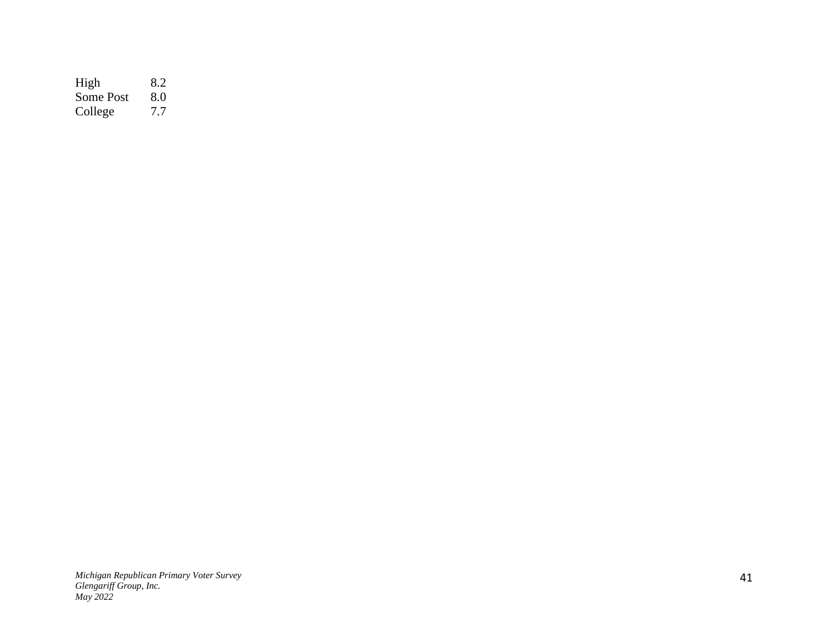High 8.2 Some Post 8.0 College 7.7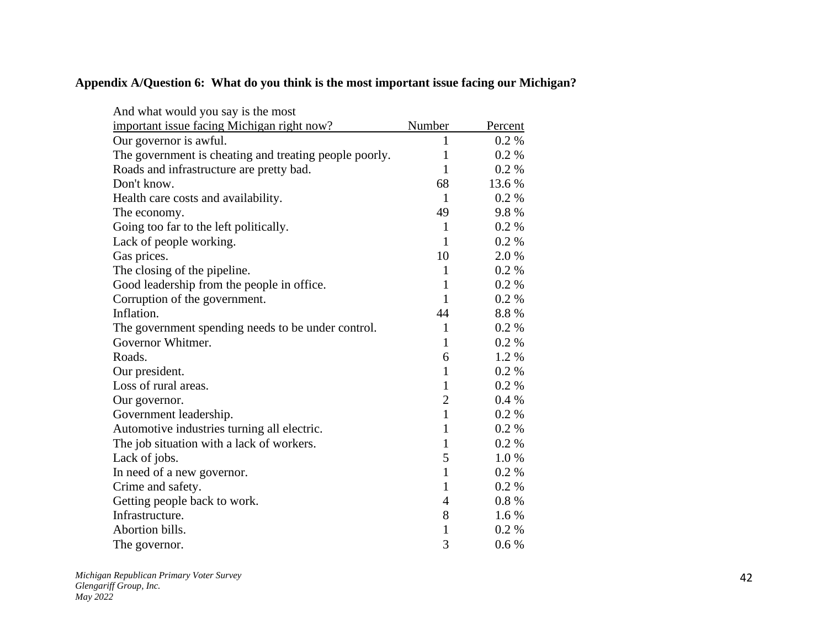## **Appendix A/Question 6: What do you think is the most important issue facing our Michigan?**

| And what would you say is the most                     |                |         |
|--------------------------------------------------------|----------------|---------|
| important issue facing Michigan right now?             | Number         | Percent |
| Our governor is awful.                                 | 1              | 0.2 %   |
| The government is cheating and treating people poorly. | $\mathbf{1}$   | 0.2 %   |
| Roads and infrastructure are pretty bad.               | $\mathbf{1}$   | 0.2 %   |
| Don't know.                                            | 68             | 13.6 %  |
| Health care costs and availability.                    | 1              | 0.2 %   |
| The economy.                                           | 49             | 9.8%    |
| Going too far to the left politically.                 | $\mathbf{1}$   | 0.2 %   |
| Lack of people working.                                | 1              | 0.2 %   |
| Gas prices.                                            | 10             | 2.0 %   |
| The closing of the pipeline.                           | $\mathbf{1}$   | 0.2 %   |
| Good leadership from the people in office.             | 1              | 0.2 %   |
| Corruption of the government.                          | $\mathbf{1}$   | 0.2 %   |
| Inflation.                                             | 44             | 8.8%    |
| The government spending needs to be under control.     | $\mathbf{1}$   | 0.2 %   |
| Governor Whitmer.                                      | $\mathbf{1}$   | 0.2 %   |
| Roads.                                                 | 6              | 1.2%    |
| Our president.                                         | $\mathbf{1}$   | 0.2 %   |
| Loss of rural areas.                                   | $\mathbf{1}$   | 0.2 %   |
| Our governor.                                          | $\overline{2}$ | 0.4%    |
| Government leadership.                                 | $\mathbf{1}$   | 0.2 %   |
| Automotive industries turning all electric.            | $\mathbf{1}$   | 0.2 %   |
| The job situation with a lack of workers.              | 1              | 0.2 %   |
| Lack of jobs.                                          | 5              | 1.0%    |
| In need of a new governor.                             | $\mathbf{1}$   | 0.2 %   |
| Crime and safety.                                      | $\mathbf{1}$   | 0.2 %   |
| Getting people back to work.                           | $\overline{4}$ | 0.8 %   |
| Infrastructure.                                        | 8              | 1.6 %   |
| Abortion bills.                                        | $\mathbf{1}$   | 0.2 %   |
| The governor.                                          | 3              | 0.6 %   |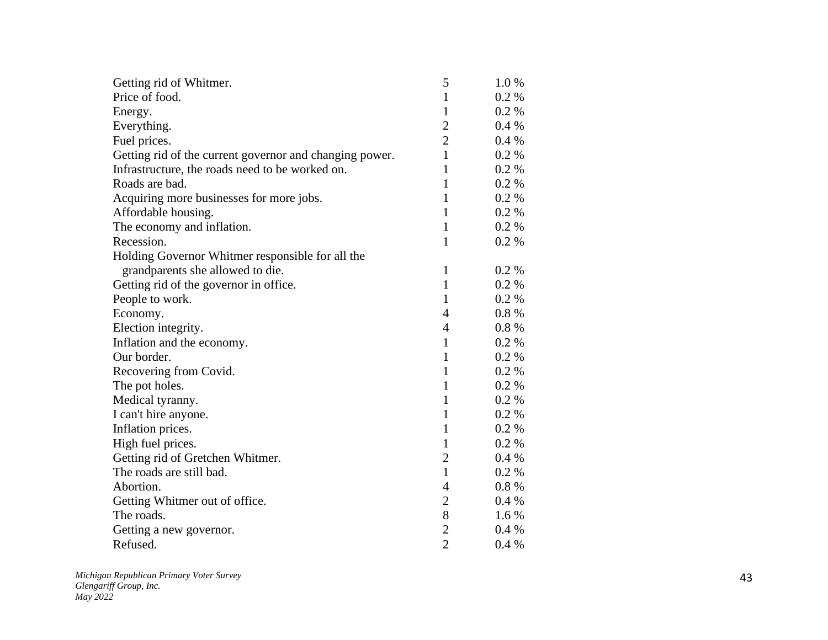| Getting rid of Whitmer.                                 | 5              | 1.0%     |
|---------------------------------------------------------|----------------|----------|
| Price of food.                                          | 1              | 0.2 %    |
| Energy.                                                 | 1              | 0.2 %    |
| Everything.                                             | $\overline{c}$ | 0.4 %    |
| Fuel prices.                                            | $\overline{2}$ | 0.4%     |
| Getting rid of the current governor and changing power. | $\mathbf{1}$   | $0.2\%$  |
| Infrastructure, the roads need to be worked on.         | 1              | 0.2 %    |
| Roads are bad.                                          | 1              | 0.2 %    |
| Acquiring more businesses for more jobs.                | $\mathbf{1}$   | 0.2 %    |
| Affordable housing.                                     | $\mathbf{1}$   | 0.2 %    |
| The economy and inflation.                              | $\mathbf{1}$   | 0.2 %    |
| Recession.                                              | $\mathbf{1}$   | 0.2 %    |
| Holding Governor Whitmer responsible for all the        |                |          |
| grandparents she allowed to die.                        | $\mathbf{1}$   | 0.2 %    |
| Getting rid of the governor in office.                  | $\mathbf{1}$   | 0.2 %    |
| People to work.                                         | $\mathbf{1}$   | 0.2 %    |
| Economy.                                                | $\overline{4}$ | $0.8 \%$ |
| Election integrity.                                     | $\overline{4}$ | $0.8 \%$ |
| Inflation and the economy.                              | $\mathbf{1}$   | 0.2 %    |
| Our border.                                             | $\mathbf{1}$   | 0.2 %    |
| Recovering from Covid.                                  | 1              | 0.2 %    |
| The pot holes.                                          | 1              | $0.2\%$  |
| Medical tyranny.                                        | $\mathbf{1}$   | 0.2 %    |
| I can't hire anyone.                                    | $\mathbf{1}$   | 0.2 %    |
| Inflation prices.                                       | $\mathbf{1}$   | 0.2 %    |
| High fuel prices.                                       | $\mathbf{1}$   | 0.2 %    |
| Getting rid of Gretchen Whitmer.                        | $\overline{2}$ | 0.4%     |
| The roads are still bad.                                | $\mathbf{1}$   | 0.2 %    |
| Abortion.                                               | 4              | $0.8 \%$ |
| Getting Whitmer out of office.                          | $\overline{2}$ | 0.4%     |
| The roads.                                              | $8\,$          | $1.6\%$  |
| Getting a new governor.                                 | $\overline{c}$ | 0.4%     |
| Refused.                                                | $\overline{2}$ | 0.4%     |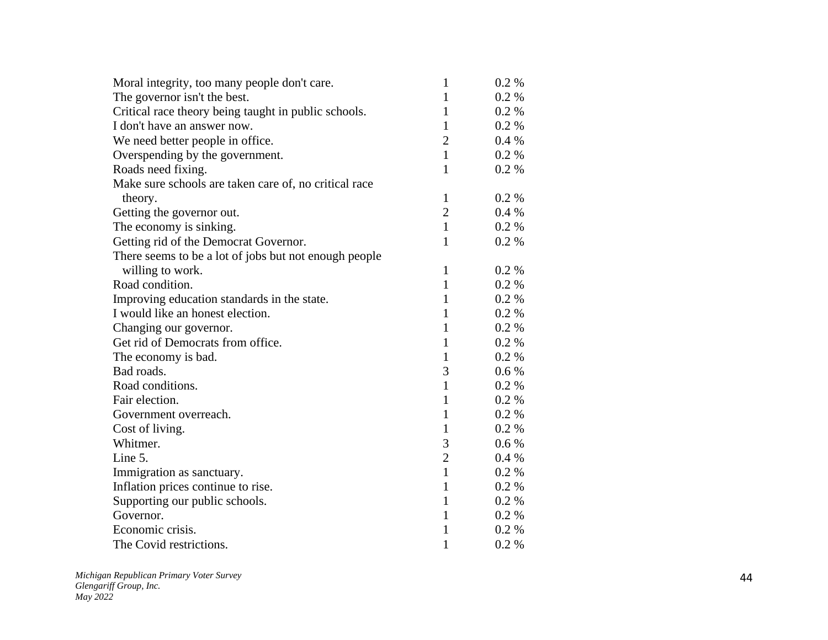| Moral integrity, too many people don't care.          | $\mathbf{1}$   | $0.2 \%$ |
|-------------------------------------------------------|----------------|----------|
| The governor isn't the best.                          | $\mathbf{1}$   | $0.2 \%$ |
| Critical race theory being taught in public schools.  | 1              | 0.2 %    |
| I don't have an answer now.                           | 1              | 0.2 %    |
| We need better people in office.                      | $\overline{c}$ | 0.4%     |
| Overspending by the government.                       | $\mathbf{1}$   | 0.2 %    |
| Roads need fixing.                                    | 1              | 0.2 %    |
| Make sure schools are taken care of, no critical race |                |          |
| theory.                                               | $\mathbf{1}$   | $0.2\%$  |
| Getting the governor out.                             | $\overline{2}$ | 0.4%     |
| The economy is sinking.                               | $\mathbf{1}$   | 0.2 %    |
| Getting rid of the Democrat Governor.                 | $\mathbf{1}$   | 0.2 %    |
| There seems to be a lot of jobs but not enough people |                |          |
| willing to work.                                      | $\mathbf{1}$   | $0.2\%$  |
| Road condition.                                       | $\mathbf{1}$   | 0.2 %    |
| Improving education standards in the state.           | $\mathbf{1}$   | 0.2 %    |
| I would like an honest election.                      | 1              | 0.2 %    |
| Changing our governor.                                | $\mathbf{1}$   | 0.2 %    |
| Get rid of Democrats from office.                     | $\mathbf{1}$   | 0.2 %    |
| The economy is bad.                                   | $\mathbf{1}$   | 0.2 %    |
| Bad roads.                                            | 3              | $0.6\%$  |
| Road conditions.                                      | $\mathbf{1}$   | 0.2 %    |
| Fair election.                                        | 1              | 0.2 %    |
| Government overreach.                                 | $\mathbf{1}$   | 0.2 %    |
| Cost of living.                                       | $\mathbf{1}$   | 0.2 %    |
| Whitmer.                                              | 3              | 0.6 %    |
| Line 5.                                               | $\overline{2}$ | 0.4%     |
| Immigration as sanctuary.                             | $\mathbf{1}$   | $0.2 \%$ |
| Inflation prices continue to rise.                    | $\mathbf{1}$   | 0.2 %    |
| Supporting our public schools.                        | 1              | $0.2 \%$ |
| Governor.                                             | $\mathbf{1}$   | 0.2 %    |
| Economic crisis.                                      | $\mathbf{1}$   | 0.2 %    |
| The Covid restrictions.                               | $\mathbf{1}$   | 0.2 %    |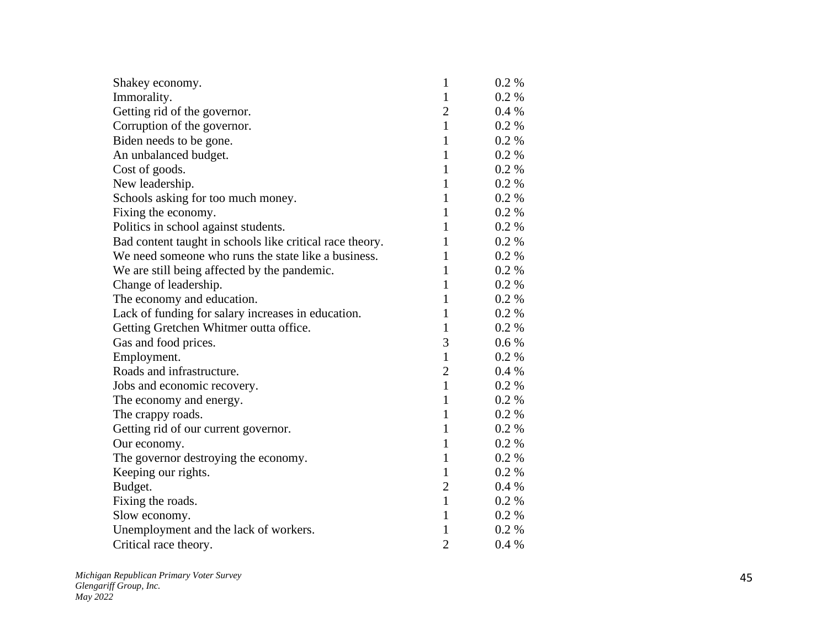| Shakey economy.                                          | $\mathbf{1}$   | $0.2 \%$ |
|----------------------------------------------------------|----------------|----------|
| Immorality.                                              | $\mathbf{1}$   | 0.2 %    |
| Getting rid of the governor.                             | $\overline{2}$ | $0.4\%$  |
| Corruption of the governor.                              | $\mathbf{1}$   | 0.2 %    |
| Biden needs to be gone.                                  | 1              | $0.2 \%$ |
| An unbalanced budget.                                    | 1              | $0.2\%$  |
| Cost of goods.                                           | $\mathbf{1}$   | 0.2 %    |
| New leadership.                                          | $\mathbf{1}$   | 0.2 %    |
| Schools asking for too much money.                       | 1              | 0.2 %    |
| Fixing the economy.                                      | $\mathbf{1}$   | $0.2 \%$ |
| Politics in school against students.                     | $\mathbf{1}$   | 0.2 %    |
| Bad content taught in schools like critical race theory. | 1              | 0.2 %    |
| We need someone who runs the state like a business.      | 1              | $0.2 \%$ |
| We are still being affected by the pandemic.             | 1              | $0.2 \%$ |
| Change of leadership.                                    | $\mathbf{1}$   | 0.2 %    |
| The economy and education.                               | $\mathbf{1}$   | 0.2 %    |
| Lack of funding for salary increases in education.       | $\mathbf{1}$   | $0.2 \%$ |
| Getting Gretchen Whitmer outta office.                   | $\mathbf{1}$   | $0.2 \%$ |
| Gas and food prices.                                     | 3              | $0.6\%$  |
| Employment.                                              | $\mathbf{1}$   | 0.2 %    |
| Roads and infrastructure.                                | $\overline{2}$ | $0.4\%$  |
| Jobs and economic recovery.                              | $\mathbf{1}$   | 0.2 %    |
| The economy and energy.                                  | $\mathbf{1}$   | $0.2 \%$ |
| The crappy roads.                                        | $\mathbf{1}$   | 0.2 %    |
| Getting rid of our current governor.                     | $\mathbf{1}$   | $0.2 \%$ |
| Our economy.                                             | $\mathbf{1}$   | 0.2 %    |
| The governor destroying the economy.                     | $\mathbf{1}$   | 0.2 %    |
| Keeping our rights.                                      | 1              | $0.2 \%$ |
| Budget.                                                  | 2              | 0.4%     |
| Fixing the roads.                                        | $\mathbf{1}$   | 0.2 %    |
| Slow economy.                                            | $\mathbf{1}$   | 0.2 %    |
| Unemployment and the lack of workers.                    | 1              | 0.2 %    |
| Critical race theory.                                    | $\overline{2}$ | 0.4%     |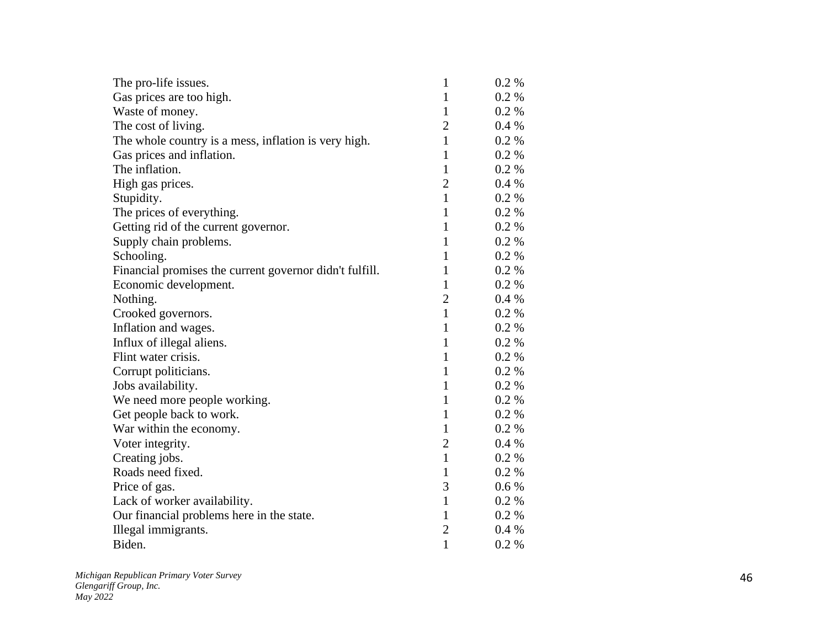| The pro-life issues.                                    | $\mathbf{1}$   | $0.2\%$  |
|---------------------------------------------------------|----------------|----------|
| Gas prices are too high.                                | $\mathbf{1}$   | $0.2 \%$ |
| Waste of money.                                         | $\mathbf{1}$   | 0.2 %    |
| The cost of living.                                     | $\overline{2}$ | 0.4%     |
| The whole country is a mess, inflation is very high.    | $\mathbf{1}$   | 0.2 %    |
| Gas prices and inflation.                               | $\mathbf{1}$   | 0.2 %    |
| The inflation.                                          | $\mathbf{1}$   | 0.2 %    |
| High gas prices.                                        | $\overline{2}$ | 0.4%     |
| Stupidity.                                              | $\mathbf{1}$   | 0.2 %    |
| The prices of everything.                               | $\mathbf{1}$   | 0.2 %    |
| Getting rid of the current governor.                    | 1              | 0.2 %    |
| Supply chain problems.                                  | $\mathbf{1}$   | 0.2 %    |
| Schooling.                                              | $\mathbf{1}$   | $0.2\%$  |
| Financial promises the current governor didn't fulfill. | 1              | $0.2 \%$ |
| Economic development.                                   | $\mathbf{1}$   | 0.2 %    |
| Nothing.                                                | $\overline{2}$ | 0.4%     |
| Crooked governors.                                      | $\mathbf{1}$   | $0.2 \%$ |
| Inflation and wages.                                    | 1              | 0.2 %    |
| Influx of illegal aliens.                               | $\mathbf{1}$   | 0.2 %    |
| Flint water crisis.                                     | $\mathbf{1}$   | $0.2\%$  |
| Corrupt politicians.                                    | 1              | 0.2 %    |
| Jobs availability.                                      | $\mathbf{1}$   | $0.2 \%$ |
| We need more people working.                            | 1              | 0.2 %    |
| Get people back to work.                                | $\mathbf{1}$   | 0.2 %    |
| War within the economy.                                 | $\mathbf{1}$   | 0.2 %    |
| Voter integrity.                                        | $\overline{2}$ | 0.4%     |
| Creating jobs.                                          | $\mathbf{1}$   | 0.2 %    |
| Roads need fixed.                                       | $\mathbf{1}$   | 0.2 %    |
| Price of gas.                                           | 3              | 0.6 %    |
| Lack of worker availability.                            | $\mathbf{1}$   | $0.2 \%$ |
| Our financial problems here in the state.               | $\mathbf{1}$   | 0.2 %    |
| Illegal immigrants.                                     | $\overline{2}$ | 0.4%     |
| Biden.                                                  | $\mathbf{1}$   | 0.2 %    |
|                                                         |                |          |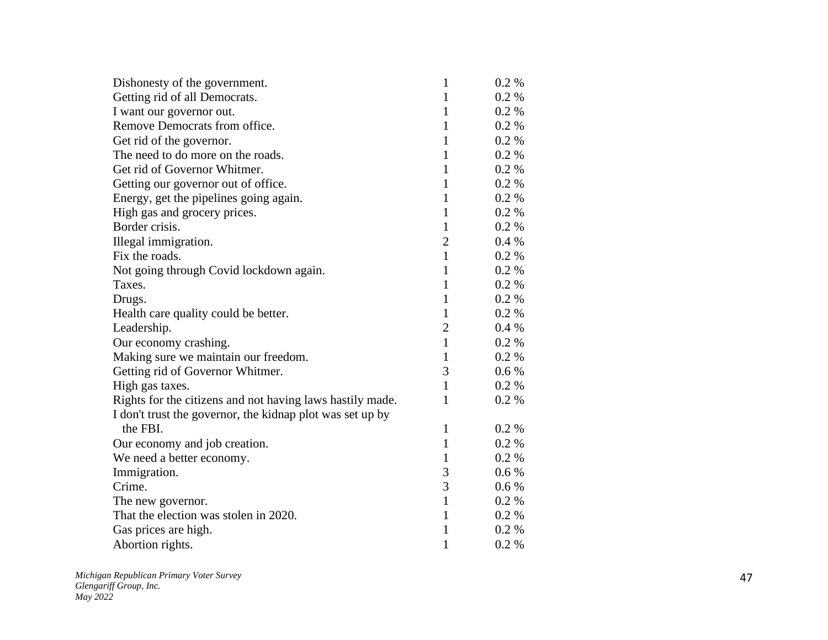| Dishonesty of the government.                             | 1              | $0.2\%$ |
|-----------------------------------------------------------|----------------|---------|
| Getting rid of all Democrats.                             | $\mathbf{1}$   | 0.2 %   |
| I want our governor out.                                  | $\mathbf{1}$   | 0.2 %   |
| Remove Democrats from office.                             | $\mathbf{1}$   | 0.2 %   |
| Get rid of the governor.                                  | $\mathbf{1}$   | 0.2 %   |
| The need to do more on the roads.                         | $\mathbf{1}$   | 0.2 %   |
| Get rid of Governor Whitmer.                              | $\mathbf{1}$   | 0.2 %   |
| Getting our governor out of office.                       | $\mathbf{1}$   | 0.2 %   |
| Energy, get the pipelines going again.                    | $\mathbf{1}$   | 0.2 %   |
| High gas and grocery prices.                              | $\mathbf{1}$   | 0.2 %   |
| Border crisis.                                            | $\mathbf{1}$   | 0.2 %   |
| Illegal immigration.                                      | $\overline{2}$ | 0.4%    |
| Fix the roads.                                            | $\mathbf{1}$   | 0.2 %   |
| Not going through Covid lockdown again.                   | $\mathbf{1}$   | 0.2 %   |
| Taxes.                                                    | $\mathbf{1}$   | 0.2 %   |
| Drugs.                                                    | $\mathbf{1}$   | 0.2 %   |
| Health care quality could be better.                      | $\mathbf{1}$   | 0.2 %   |
| Leadership.                                               | $\overline{2}$ | 0.4%    |
| Our economy crashing.                                     | $\mathbf{1}$   | 0.2 %   |
| Making sure we maintain our freedom.                      | 1              | 0.2 %   |
| Getting rid of Governor Whitmer.                          | 3              | $0.6\%$ |
| High gas taxes.                                           | $\mathbf{1}$   | 0.2 %   |
| Rights for the citizens and not having laws hastily made. | 1              | 0.2 %   |
| I don't trust the governor, the kidnap plot was set up by |                |         |
| the FBI.                                                  | $\mathbf{1}$   | 0.2 %   |
| Our economy and job creation.                             | $\mathbf{1}$   | 0.2 %   |
| We need a better economy.                                 | $\mathbf{1}$   | 0.2 %   |
| Immigration.                                              | 3              | 0.6 %   |
| Crime.                                                    | 3              | 0.6 %   |
| The new governor.                                         | $\mathbf{1}$   | 0.2 %   |
| That the election was stolen in 2020.                     | $\mathbf{1}$   | 0.2 %   |
| Gas prices are high.                                      | 1              | 0.2 %   |
| Abortion rights.                                          | $\mathbf{1}$   | 0.2 %   |
|                                                           |                |         |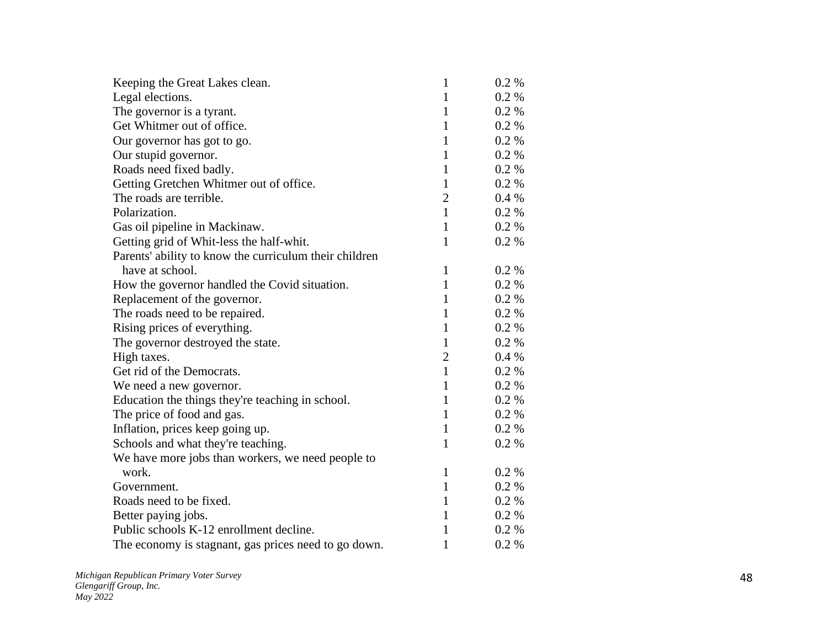| Keeping the Great Lakes clean.                         | 1              | $0.2 \%$ |
|--------------------------------------------------------|----------------|----------|
| Legal elections.                                       | 1              | 0.2 %    |
| The governor is a tyrant.                              | 1              | $0.2 \%$ |
| Get Whitmer out of office.                             | 1              | 0.2%     |
| Our governor has got to go.                            | $\mathbf{1}$   | $0.2 \%$ |
| Our stupid governor.                                   | $\mathbf{1}$   | $0.2 \%$ |
| Roads need fixed badly.                                | $\mathbf{1}$   | $0.2 \%$ |
| Getting Gretchen Whitmer out of office.                | $\mathbf{1}$   | 0.2%     |
| The roads are terrible.                                | $\overline{2}$ | 0.4%     |
| Polarization.                                          | $\mathbf{1}$   | $0.2 \%$ |
| Gas oil pipeline in Mackinaw.                          | $\mathbf{1}$   | $0.2 \%$ |
| Getting grid of Whit-less the half-whit.               | $\mathbf{1}$   | $0.2 \%$ |
| Parents' ability to know the curriculum their children |                |          |
| have at school.                                        | $\mathbf{1}$   | $0.2 \%$ |
| How the governor handled the Covid situation.          | 1              | $0.2 \%$ |
| Replacement of the governor.                           | $\mathbf{1}$   | $0.2 \%$ |
| The roads need to be repaired.                         | 1              | 0.2 %    |
| Rising prices of everything.                           | $\mathbf{1}$   | $0.2 \%$ |
| The governor destroyed the state.                      | $\mathbf{1}$   | $0.2 \%$ |
| High taxes.                                            | $\overline{2}$ | 0.4%     |
| Get rid of the Democrats.                              | $\mathbf{1}$   | $0.2 \%$ |
| We need a new governor.                                | $\mathbf{1}$   | 0.2 %    |
| Education the things they're teaching in school.       | $\mathbf{1}$   | 0.2 %    |
| The price of food and gas.                             | $\mathbf{1}$   | $0.2 \%$ |
| Inflation, prices keep going up.                       | $\mathbf{1}$   | 0.2 %    |
| Schools and what they're teaching.                     | 1              | 0.2 %    |
| We have more jobs than workers, we need people to      |                |          |
| work.                                                  | 1              | 0.2 %    |
| Government.                                            | $\mathbf{1}$   | $0.2 \%$ |
| Roads need to be fixed.                                | 1              | $0.2 \%$ |
| Better paying jobs.                                    | $\mathbf{1}$   | $0.2\%$  |
| Public schools K-12 enrollment decline.                | 1              | $0.2 \%$ |
| The economy is stagnant, gas prices need to go down.   | $\mathbf{1}$   | 0.2 %    |
|                                                        |                |          |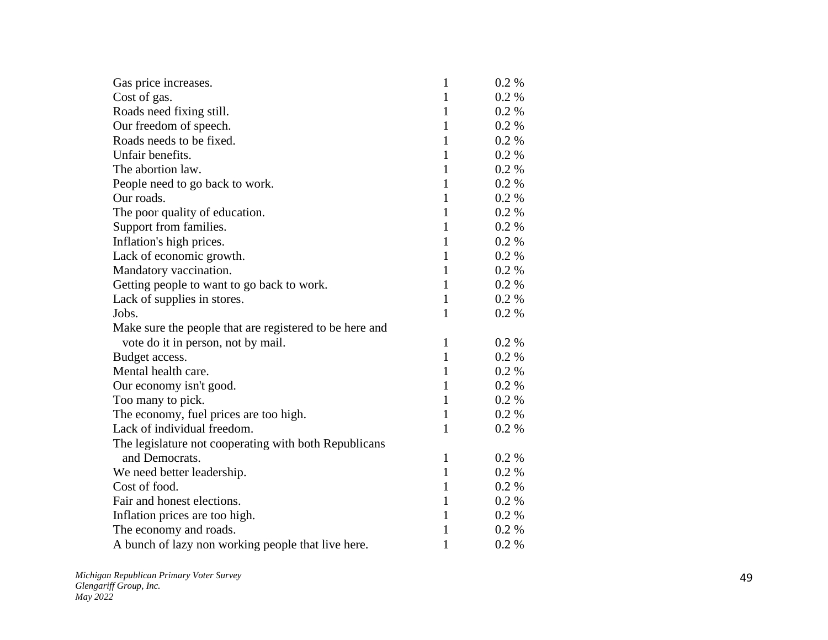| Gas price increases.                                    | $\mathbf{1}$ | $0.2 \%$ |
|---------------------------------------------------------|--------------|----------|
| Cost of gas.                                            | $\mathbf{1}$ | $0.2\%$  |
| Roads need fixing still.                                | 1            | $0.2 \%$ |
| Our freedom of speech.                                  | 1            | 0.2 %    |
| Roads needs to be fixed.                                | $\mathbf{1}$ | 0.2 %    |
| Unfair benefits.                                        | 1            | $0.2 \%$ |
| The abortion law.                                       | 1            | $0.2 \%$ |
| People need to go back to work.                         | $\mathbf{1}$ | $0.2 \%$ |
| Our roads.                                              | $\mathbf{1}$ | 0.2 %    |
| The poor quality of education.                          | $\mathbf{1}$ | 0.2 %    |
| Support from families.                                  | $\mathbf{1}$ | 0.2 %    |
| Inflation's high prices.                                | $\mathbf{1}$ | 0.2 %    |
| Lack of economic growth.                                | 1            | 0.2 %    |
| Mandatory vaccination.                                  | 1            | $0.2 \%$ |
| Getting people to want to go back to work.              | $\mathbf{1}$ | $0.2 \%$ |
| Lack of supplies in stores.                             | $\mathbf{1}$ | $0.2 \%$ |
| Jobs.                                                   | $\mathbf{1}$ | 0.2 %    |
| Make sure the people that are registered to be here and |              |          |
| vote do it in person, not by mail.                      | $\mathbf{1}$ | 0.2 %    |
| Budget access.                                          | $\mathbf{1}$ | $0.2 \%$ |
| Mental health care.                                     | 1            | $0.2 \%$ |
| Our economy isn't good.                                 | $\mathbf{1}$ | 0.2 %    |
| Too many to pick.                                       | $\mathbf{1}$ | $0.2\%$  |
| The economy, fuel prices are too high.                  | $\mathbf{1}$ | $0.2\%$  |
| Lack of individual freedom.                             | $\mathbf{1}$ | 0.2 %    |
| The legislature not cooperating with both Republicans   |              |          |
| and Democrats.                                          | $\mathbf{1}$ | 0.2 %    |
| We need better leadership.                              | 1            | $0.2\%$  |
| Cost of food.                                           | 1            | $0.2 \%$ |
| Fair and honest elections.                              | 1            | 0.2 %    |
| Inflation prices are too high.                          | $\mathbf{1}$ | 0.2 %    |
| The economy and roads.                                  | $\mathbf{1}$ | 0.2 %    |
| A bunch of lazy non working people that live here.      | $\mathbf{1}$ | 0.2 %    |